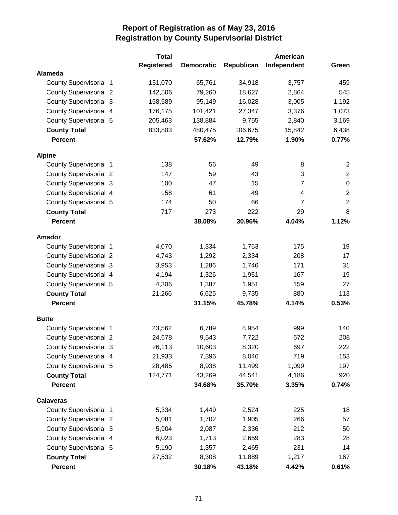|                               | <b>Total</b>      |                   |            | American       |                  |
|-------------------------------|-------------------|-------------------|------------|----------------|------------------|
|                               | <b>Registered</b> | <b>Democratic</b> | Republican | Independent    | Green            |
| <b>Alameda</b>                |                   |                   |            |                |                  |
| <b>County Supervisorial 1</b> | 151,070           | 65,761            | 34,918     | 3,757          | 459              |
| <b>County Supervisorial 2</b> | 142,506           | 79,260            | 18,627     | 2,864          | 545              |
| <b>County Supervisorial 3</b> | 158,589           | 95,149            | 16,028     | 3,005          | 1,192            |
| <b>County Supervisorial 4</b> | 176,175           | 101,421           | 27,347     | 3,376          | 1,073            |
| <b>County Supervisorial 5</b> | 205,463           | 138,884           | 9,755      | 2,840          | 3,169            |
| <b>County Total</b>           | 833,803           | 480,475           | 106,675    | 15,842         | 6,438            |
| <b>Percent</b>                |                   | 57.62%            | 12.79%     | 1.90%          | 0.77%            |
| <b>Alpine</b>                 |                   |                   |            |                |                  |
| County Supervisorial 1        | 138               | 56                | 49         | 8              | $\overline{c}$   |
| <b>County Supervisorial 2</b> | 147               | 59                | 43         | 3              | $\overline{2}$   |
| <b>County Supervisorial 3</b> | 100               | 47                | 15         | $\overline{7}$ | $\pmb{0}$        |
| County Supervisorial 4        | 158               | 61                | 49         | 4              | $\boldsymbol{2}$ |
| <b>County Supervisorial 5</b> | 174               | 50                | 66         | $\overline{7}$ | $\sqrt{2}$       |
| <b>County Total</b>           | 717               | 273               | 222        | 29             | 8                |
| <b>Percent</b>                |                   | 38.08%            | 30.96%     | 4.04%          | 1.12%            |
| Amador                        |                   |                   |            |                |                  |
| <b>County Supervisorial 1</b> | 4,070             | 1,334             | 1,753      | 175            | 19               |
| <b>County Supervisorial 2</b> | 4,743             | 1,292             | 2,334      | 208            | 17               |
| <b>County Supervisorial 3</b> | 3,953             | 1,286             | 1,746      | 171            | 31               |
| <b>County Supervisorial 4</b> | 4,194             | 1,326             | 1,951      | 167            | 19               |
| <b>County Supervisorial 5</b> | 4,306             | 1,387             | 1,951      | 159            | 27               |
| <b>County Total</b>           | 21,266            | 6,625             | 9,735      | 880            | 113              |
| <b>Percent</b>                |                   | 31.15%            | 45.78%     | 4.14%          | 0.53%            |
| <b>Butte</b>                  |                   |                   |            |                |                  |
| <b>County Supervisorial 1</b> | 23,562            | 6,789             | 8,954      | 999            | 140              |
| <b>County Supervisorial 2</b> | 24,678            | 9,543             | 7,722      | 672            | 208              |
| <b>County Supervisorial 3</b> | 26,113            | 10,603            | 8,320      | 697            | 222              |
| County Supervisorial 4        | 21,933            | 7,396             | 8,046      | 719            | 153              |
| County Supervisorial 5        | 28,485            | 8,938             | 11,499     | 1,099          | 197              |
| <b>County Total</b>           | 124,771           | 43,269            | 44,541     | 4,186          | 920              |
| <b>Percent</b>                |                   | 34.68%            | 35.70%     | 3.35%          | 0.74%            |
| <b>Calaveras</b>              |                   |                   |            |                |                  |
| County Supervisorial 1        | 5,334             | 1,449             | 2,524      | 225            | 18               |
| <b>County Supervisorial 2</b> | 5,081             | 1,702             | 1,905      | 266            | 57               |
| <b>County Supervisorial 3</b> | 5,904             | 2,087             | 2,336      | 212            | 50               |
| County Supervisorial 4        | 6,023             | 1,713             | 2,659      | 283            | 28               |
| <b>County Supervisorial 5</b> | 5,190             | 1,357             | 2,465      | 231            | 14               |
| <b>County Total</b>           | 27,532            | 8,308             | 11,889     | 1,217          | 167              |
| <b>Percent</b>                |                   | 30.18%            | 43.18%     | 4.42%          | 0.61%            |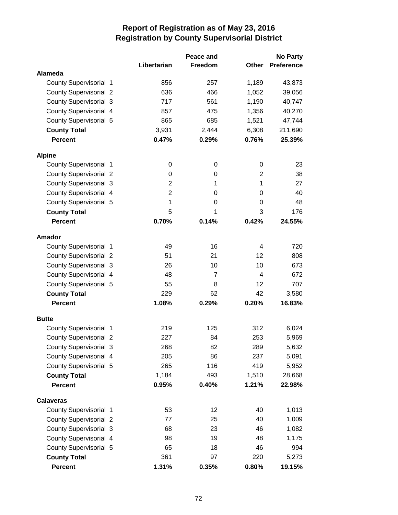|                               |                | Peace and      | <b>No Party</b> |                   |
|-------------------------------|----------------|----------------|-----------------|-------------------|
|                               | Libertarian    | Freedom        | Other           | <b>Preference</b> |
| Alameda                       |                |                |                 |                   |
| <b>County Supervisorial 1</b> | 856            | 257            | 1,189           | 43,873            |
| <b>County Supervisorial 2</b> | 636            | 466            | 1,052           | 39,056            |
| <b>County Supervisorial 3</b> | 717            | 561            | 1,190           | 40,747            |
| <b>County Supervisorial 4</b> | 857            | 475            | 1,356           | 40,270            |
| County Supervisorial 5        | 865            | 685            | 1,521           | 47,744            |
| <b>County Total</b>           | 3,931          | 2,444          | 6,308           | 211,690           |
| <b>Percent</b>                | 0.47%          | 0.29%          | 0.76%           | 25.39%            |
| <b>Alpine</b>                 |                |                |                 |                   |
| County Supervisorial 1        | 0              | 0              | 0               | 23                |
| <b>County Supervisorial 2</b> | 0              | 0              | $\overline{2}$  | 38                |
| <b>County Supervisorial 3</b> | 2              | 1              | 1               | 27                |
| <b>County Supervisorial 4</b> | $\overline{2}$ | $\Omega$       | 0               | 40                |
| <b>County Supervisorial 5</b> | $\mathbf{1}$   | 0              | 0               | 48                |
| <b>County Total</b>           | 5              | 1              | 3               | 176               |
| <b>Percent</b>                | 0.70%          | 0.14%          | 0.42%           | 24.55%            |
| <b>Amador</b>                 |                |                |                 |                   |
| County Supervisorial 1        | 49             | 16             | 4               | 720               |
| <b>County Supervisorial 2</b> | 51             | 21             | 12              | 808               |
| <b>County Supervisorial 3</b> | 26             | 10             | 10              | 673               |
| <b>County Supervisorial 4</b> | 48             | $\overline{7}$ | 4               | 672               |
| <b>County Supervisorial 5</b> | 55             | 8              | 12              | 707               |
| <b>County Total</b>           | 229            | 62             | 42              | 3,580             |
| <b>Percent</b>                | 1.08%          | 0.29%          | 0.20%           | 16.83%            |
| <b>Butte</b>                  |                |                |                 |                   |
| <b>County Supervisorial 1</b> | 219            | 125            | 312             | 6,024             |
| <b>County Supervisorial 2</b> | 227            | 84             | 253             | 5,969             |
| <b>County Supervisorial 3</b> | 268            | 82             | 289             | 5,632             |
| County Supervisorial 4        | 205            | 86             | 237             | 5,091             |
| <b>County Supervisorial 5</b> | 265            | 116            | 419             | 5,952             |
| <b>County Total</b>           | 1,184          | 493            | 1,510           | 28,668            |
| <b>Percent</b>                | 0.95%          | 0.40%          | 1.21%           | 22.98%            |
| <b>Calaveras</b>              |                |                |                 |                   |
| County Supervisorial 1        | 53             | 12             | 40              | 1,013             |
| <b>County Supervisorial 2</b> | 77             | 25             | 40              | 1,009             |
| <b>County Supervisorial 3</b> | 68             | 23             | 46              | 1,082             |
| County Supervisorial 4        | 98             | 19             | 48              | 1,175             |
| <b>County Supervisorial 5</b> | 65             | 18             | 46              | 994               |
| <b>County Total</b>           | 361            | 97             | 220             | 5,273             |
| Percent                       | 1.31%          | 0.35%          | 0.80%           | 19.15%            |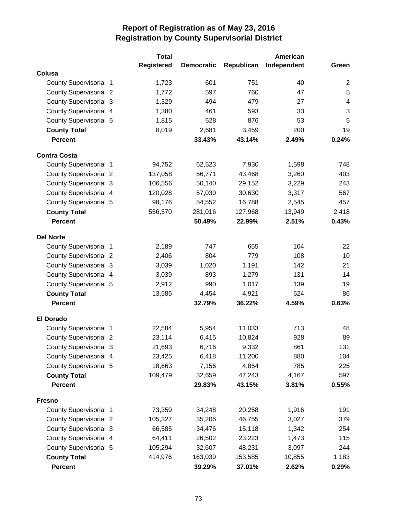|                               | <b>Total</b>      |                   |            | American    |                         |
|-------------------------------|-------------------|-------------------|------------|-------------|-------------------------|
|                               | <b>Registered</b> | <b>Democratic</b> | Republican | Independent | Green                   |
| Colusa                        |                   |                   |            |             |                         |
| County Supervisorial 1        | 1,723             | 601               | 751        | 40          | $\overline{2}$          |
| <b>County Supervisorial 2</b> | 1,772             | 597               | 760        | 47          | 5                       |
| <b>County Supervisorial 3</b> | 1,329             | 494               | 479        | 27          | $\overline{\mathbf{4}}$ |
| County Supervisorial 4        | 1,380             | 461               | 593        | 33          | 3                       |
| County Supervisorial 5        | 1,815             | 528               | 876        | 53          | 5                       |
| <b>County Total</b>           | 8,019             | 2,681             | 3,459      | 200         | 19                      |
| <b>Percent</b>                |                   | 33.43%            | 43.14%     | 2.49%       | 0.24%                   |
| <b>Contra Costa</b>           |                   |                   |            |             |                         |
| <b>County Supervisorial 1</b> | 94,752            | 62,523            | 7,930      | 1,598       | 748                     |
| <b>County Supervisorial 2</b> | 137,058           | 56,771            | 43,468     | 3,260       | 403                     |
| <b>County Supervisorial 3</b> | 106,556           | 50,140            | 29,152     | 3,229       | 243                     |
| <b>County Supervisorial 4</b> | 120,028           | 57,030            | 30,630     | 3,317       | 567                     |
| <b>County Supervisorial 5</b> | 98,176            | 54,552            | 16,788     | 2,545       | 457                     |
| <b>County Total</b>           | 556,570           | 281,016           | 127,968    | 13,949      | 2,418                   |
| <b>Percent</b>                |                   | 50.49%            | 22.99%     | 2.51%       | 0.43%                   |
| <b>Del Norte</b>              |                   |                   |            |             |                         |
| County Supervisorial 1        | 2,189             | 747               | 655        | 104         | 22                      |
| <b>County Supervisorial 2</b> | 2,406             | 804               | 779        | 108         | 10                      |
| <b>County Supervisorial 3</b> | 3,039             | 1,020             | 1,191      | 142         | 21                      |
| County Supervisorial 4        | 3,039             | 893               | 1,279      | 131         | 14                      |
| <b>County Supervisorial 5</b> | 2,912             | 990               | 1,017      | 139         | 19                      |
| <b>County Total</b>           | 13,585            | 4,454             | 4,921      | 624         | 86                      |
| <b>Percent</b>                |                   | 32.79%            | 36.22%     | 4.59%       | 0.63%                   |
| <b>El Dorado</b>              |                   |                   |            |             |                         |
| County Supervisorial 1        | 22,584            | 5,954             | 11,033     | 713         | 48                      |
| <b>County Supervisorial 2</b> | 23,114            | 6,415             | 10,824     | 928         | 89                      |
| <b>County Supervisorial 3</b> | 21,693            | 6,716             | 9,332      | 861         | 131                     |
| County Supervisorial 4        | 23,425            | 6,418             | 11,200     | 880         | 104                     |
| County Supervisorial 5        | 18,663            | 7,156             | 4,854      | 785         | 225                     |
| <b>County Total</b>           | 109,479           | 32,659            | 47,243     | 4,167       | 597                     |
| <b>Percent</b>                |                   | 29.83%            | 43.15%     | 3.81%       | 0.55%                   |
| <b>Fresno</b>                 |                   |                   |            |             |                         |
| <b>County Supervisorial 1</b> | 73,359            | 34,248            | 20,258     | 1,916       | 191                     |
| <b>County Supervisorial 2</b> | 105,327           | 35,206            | 46,755     | 3,027       | 379                     |
| <b>County Supervisorial 3</b> | 66,585            | 34,476            | 15,118     | 1,342       | 254                     |
| County Supervisorial 4        | 64,411            | 26,502            | 23,223     | 1,473       | 115                     |
| County Supervisorial 5        | 105,294           | 32,607            | 48,231     | 3,097       | 244                     |
| <b>County Total</b>           | 414,976           | 163,039           | 153,585    | 10,855      | 1,183                   |
| Percent                       |                   | 39.29%            | 37.01%     | 2.62%       | 0.29%                   |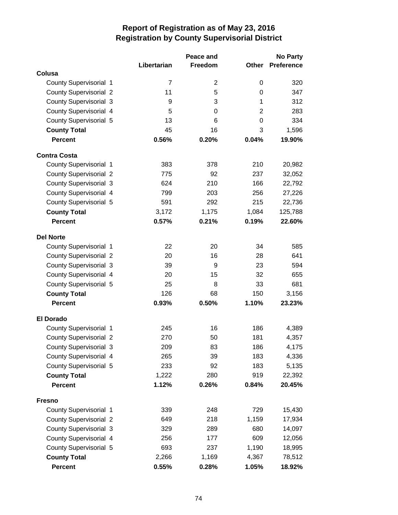|                               |                | Peace and      |              | <b>No Party</b>   |  |
|-------------------------------|----------------|----------------|--------------|-------------------|--|
|                               | Libertarian    | Freedom        | <b>Other</b> | <b>Preference</b> |  |
| Colusa                        |                |                |              |                   |  |
| County Supervisorial 1        | $\overline{7}$ | $\overline{2}$ | 0            | 320               |  |
| <b>County Supervisorial 2</b> | 11             | 5              | 0            | 347               |  |
| <b>County Supervisorial 3</b> | 9              | 3              | 1            | 312               |  |
| County Supervisorial 4        | 5              | $\Omega$       | 2            | 283               |  |
| <b>County Supervisorial 5</b> | 13             | 6              | 0            | 334               |  |
| <b>County Total</b>           | 45             | 16             | 3            | 1,596             |  |
| <b>Percent</b>                | 0.56%          | 0.20%          | 0.04%        | 19.90%            |  |
| <b>Contra Costa</b>           |                |                |              |                   |  |
| County Supervisorial 1        | 383            | 378            | 210          | 20,982            |  |
| <b>County Supervisorial 2</b> | 775            | 92             | 237          | 32,052            |  |
| <b>County Supervisorial 3</b> | 624            | 210            | 166          | 22,792            |  |
| <b>County Supervisorial 4</b> | 799            | 203            | 256          | 27,226            |  |
| <b>County Supervisorial 5</b> | 591            | 292            | 215          | 22,736            |  |
| <b>County Total</b>           | 3,172          | 1,175          | 1,084        | 125,788           |  |
| <b>Percent</b>                | 0.57%          | 0.21%          | 0.19%        | 22.60%            |  |
| <b>Del Norte</b>              |                |                |              |                   |  |
| County Supervisorial 1        | 22             | 20             | 34           | 585               |  |
| <b>County Supervisorial 2</b> | 20             | 16             | 28           | 641               |  |
| <b>County Supervisorial 3</b> | 39             | 9              | 23           | 594               |  |
| <b>County Supervisorial 4</b> | 20             | 15             | 32           | 655               |  |
| <b>County Supervisorial 5</b> | 25             | 8              | 33           | 681               |  |
| <b>County Total</b>           | 126            | 68             | 150          | 3,156             |  |
| <b>Percent</b>                | 0.93%          | 0.50%          | 1.10%        | 23.23%            |  |
| <b>El Dorado</b>              |                |                |              |                   |  |
| <b>County Supervisorial 1</b> | 245            | 16             | 186          | 4,389             |  |
| <b>County Supervisorial 2</b> | 270            | 50             | 181          | 4,357             |  |
| <b>County Supervisorial 3</b> | 209            | 83             | 186          | 4,175             |  |
| County Supervisorial 4        | 265            | 39             | 183          | 4,336             |  |
| County Supervisorial 5        | 233            | 92             | 183          | 5,135             |  |
| <b>County Total</b>           | 1,222          | 280            | 919          | 22,392            |  |
| <b>Percent</b>                | 1.12%          | 0.26%          | 0.84%        | 20.45%            |  |
| <b>Fresno</b>                 |                |                |              |                   |  |
| County Supervisorial 1        | 339            | 248            | 729          | 15,430            |  |
| <b>County Supervisorial 2</b> | 649            | 218            | 1,159        | 17,934            |  |
| <b>County Supervisorial 3</b> | 329            | 289            | 680          | 14,097            |  |
| County Supervisorial 4        | 256            | 177            | 609          | 12,056            |  |
| <b>County Supervisorial 5</b> | 693            | 237            | 1,190        | 18,995            |  |
| <b>County Total</b>           | 2,266          | 1,169          | 4,367        | 78,512            |  |
| <b>Percent</b>                | 0.55%          | 0.28%          | 1.05%        | 18.92%            |  |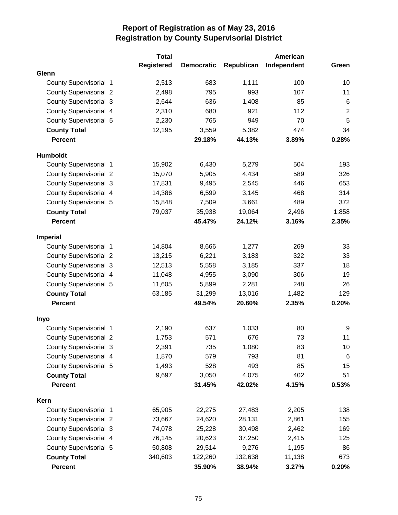|                               | <b>Total</b>      |                   |            | American    |                 |
|-------------------------------|-------------------|-------------------|------------|-------------|-----------------|
|                               | <b>Registered</b> | <b>Democratic</b> | Republican | Independent | Green           |
| Glenn                         |                   |                   |            |             |                 |
| County Supervisorial 1        | 2,513             | 683               | 1,111      | 100         | 10              |
| <b>County Supervisorial 2</b> | 2,498             | 795               | 993        | 107         | 11              |
| <b>County Supervisorial 3</b> | 2,644             | 636               | 1,408      | 85          | $6\phantom{1}6$ |
| County Supervisorial 4        | 2,310             | 680               | 921        | 112         | $\overline{c}$  |
| <b>County Supervisorial 5</b> | 2,230             | 765               | 949        | 70          | 5               |
| <b>County Total</b>           | 12,195            | 3,559             | 5,382      | 474         | 34              |
| <b>Percent</b>                |                   | 29.18%            | 44.13%     | 3.89%       | 0.28%           |
| Humboldt                      |                   |                   |            |             |                 |
| <b>County Supervisorial 1</b> | 15,902            | 6,430             | 5,279      | 504         | 193             |
| <b>County Supervisorial 2</b> | 15,070            | 5,905             | 4,434      | 589         | 326             |
| <b>County Supervisorial 3</b> | 17,831            | 9,495             | 2,545      | 446         | 653             |
| County Supervisorial 4        | 14,386            | 6,599             | 3,145      | 468         | 314             |
| <b>County Supervisorial 5</b> | 15,848            | 7,509             | 3,661      | 489         | 372             |
| <b>County Total</b>           | 79,037            | 35,938            | 19,064     | 2,496       | 1,858           |
| <b>Percent</b>                |                   | 45.47%            | 24.12%     | 3.16%       | 2.35%           |
| <b>Imperial</b>               |                   |                   |            |             |                 |
| County Supervisorial 1        | 14,804            | 8,666             | 1,277      | 269         | 33              |
| <b>County Supervisorial 2</b> | 13,215            | 6,221             | 3,183      | 322         | 33              |
| <b>County Supervisorial 3</b> | 12,513            | 5,558             | 3,185      | 337         | 18              |
| County Supervisorial 4        | 11,048            | 4,955             | 3,090      | 306         | 19              |
| County Supervisorial 5        | 11,605            | 5,899             | 2,281      | 248         | 26              |
| <b>County Total</b>           | 63,185            | 31,299            | 13,016     | 1,482       | 129             |
| <b>Percent</b>                |                   | 49.54%            | 20.60%     | 2.35%       | 0.20%           |
| Inyo                          |                   |                   |            |             |                 |
| <b>County Supervisorial 1</b> | 2,190             | 637               | 1,033      | 80          | 9               |
| <b>County Supervisorial 2</b> | 1,753             | 571               | 676        | 73          | 11              |
| <b>County Supervisorial 3</b> | 2,391             | 735               | 1,080      | 83          | 10              |
| County Supervisorial 4        | 1,870             | 579               | 793        | 81          | $\,6$           |
| County Supervisorial 5        | 1,493             | 528               | 493        | 85          | 15              |
| <b>County Total</b>           | 9,697             | 3,050             | 4,075      | 402         | 51              |
| <b>Percent</b>                |                   | 31.45%            | 42.02%     | 4.15%       | 0.53%           |
| Kern                          |                   |                   |            |             |                 |
| <b>County Supervisorial 1</b> | 65,905            | 22,275            | 27,483     | 2,205       | 138             |
| <b>County Supervisorial 2</b> | 73,667            | 24,620            | 28,131     | 2,861       | 155             |
| <b>County Supervisorial 3</b> | 74,078            | 25,228            | 30,498     | 2,462       | 169             |
| <b>County Supervisorial 4</b> | 76,145            | 20,623            | 37,250     | 2,415       | 125             |
| <b>County Supervisorial 5</b> | 50,808            | 29,514            | 9,276      | 1,195       | 86              |
| <b>County Total</b>           | 340,603           | 122,260           | 132,638    | 11,138      | 673             |
| <b>Percent</b>                |                   | 35.90%            | 38.94%     | 3.27%       | 0.20%           |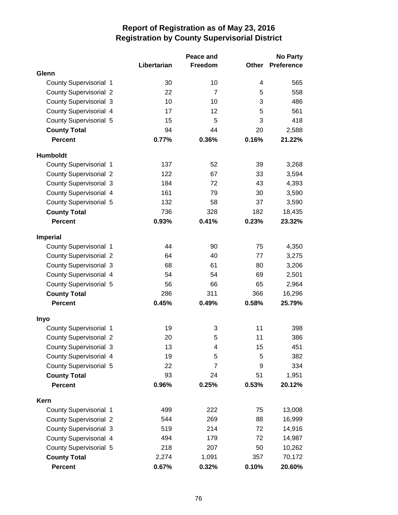|                               | Peace and   |                |              | <b>No Party</b>   |  |
|-------------------------------|-------------|----------------|--------------|-------------------|--|
|                               | Libertarian | Freedom        | <b>Other</b> | <b>Preference</b> |  |
| Glenn                         |             |                |              |                   |  |
| County Supervisorial 1        | 30          | 10             | 4            | 565               |  |
| <b>County Supervisorial 2</b> | 22          | $\overline{7}$ | 5            | 558               |  |
| <b>County Supervisorial 3</b> | 10          | 10             | 3            | 486               |  |
| <b>County Supervisorial 4</b> | 17          | 12             | 5            | 561               |  |
| <b>County Supervisorial 5</b> | 15          | 5              | 3            | 418               |  |
| <b>County Total</b>           | 94          | 44             | 20           | 2,588             |  |
| <b>Percent</b>                | 0.77%       | 0.36%          | 0.16%        | 21.22%            |  |
| <b>Humboldt</b>               |             |                |              |                   |  |
| County Supervisorial 1        | 137         | 52             | 39           | 3,268             |  |
| <b>County Supervisorial 2</b> | 122         | 67             | 33           | 3,594             |  |
| <b>County Supervisorial 3</b> | 184         | 72             | 43           | 4,393             |  |
| <b>County Supervisorial 4</b> | 161         | 79             | 30           | 3,590             |  |
| <b>County Supervisorial 5</b> | 132         | 58             | 37           | 3,590             |  |
| <b>County Total</b>           | 736         | 328            | 182          | 18,435            |  |
| <b>Percent</b>                | 0.93%       | 0.41%          | 0.23%        | 23.32%            |  |
| <b>Imperial</b>               |             |                |              |                   |  |
| <b>County Supervisorial 1</b> | 44          | 90             | 75           | 4,350             |  |
| <b>County Supervisorial 2</b> | 64          | 40             | 77           | 3,275             |  |
| <b>County Supervisorial 3</b> | 68          | 61             | 80           | 3,206             |  |
| <b>County Supervisorial 4</b> | 54          | 54             | 69           | 2,501             |  |
| County Supervisorial 5        | 56          | 66             | 65           | 2,964             |  |
| <b>County Total</b>           | 286         | 311            | 366          | 16,296            |  |
| <b>Percent</b>                | 0.45%       | 0.49%          | 0.58%        | 25.79%            |  |
| Inyo                          |             |                |              |                   |  |
| <b>County Supervisorial 1</b> | 19          | 3              | 11           | 398               |  |
| <b>County Supervisorial 2</b> | 20          | 5              | 11           | 386               |  |
| County Supervisorial 3        | 13          | 4              | 15           | 451               |  |
| County Supervisorial 4        | 19          | 5              | 5            | 382               |  |
| <b>County Supervisorial 5</b> | 22          | $\overline{7}$ | 9            | 334               |  |
| <b>County Total</b>           | 93          | 24             | 51           | 1,951             |  |
| <b>Percent</b>                | 0.96%       | 0.25%          | 0.53%        | 20.12%            |  |
| Kern                          |             |                |              |                   |  |
| <b>County Supervisorial 1</b> | 499         | 222            | 75           | 13,008            |  |
| <b>County Supervisorial 2</b> | 544         | 269            | 88           | 16,999            |  |
| <b>County Supervisorial 3</b> | 519         | 214            | 72           | 14,916            |  |
| County Supervisorial 4        | 494         | 179            | 72           | 14,987            |  |
| <b>County Supervisorial 5</b> | 218         | 207            | 50           | 10,262            |  |
| <b>County Total</b>           | 2,274       | 1,091          | 357          | 70,172            |  |
| <b>Percent</b>                | 0.67%       | 0.32%          | 0.10%        | 20.60%            |  |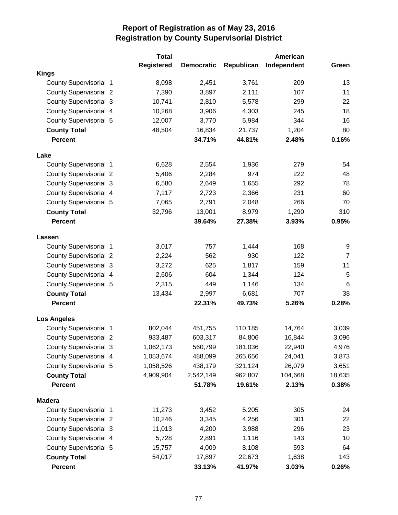|                               | <b>Total</b>      |                   |            | <b>American</b> |                 |
|-------------------------------|-------------------|-------------------|------------|-----------------|-----------------|
|                               | <b>Registered</b> | <b>Democratic</b> | Republican | Independent     | Green           |
| <b>Kings</b>                  |                   |                   |            |                 |                 |
| <b>County Supervisorial 1</b> | 8,098             | 2,451             | 3,761      | 209             | 13              |
| <b>County Supervisorial 2</b> | 7,390             | 3,897             | 2,111      | 107             | 11              |
| <b>County Supervisorial 3</b> | 10,741            | 2,810             | 5,578      | 299             | 22              |
| County Supervisorial 4        | 10,268            | 3,906             | 4,303      | 245             | 18              |
| <b>County Supervisorial 5</b> | 12,007            | 3,770             | 5,984      | 344             | 16              |
| <b>County Total</b>           | 48,504            | 16,834            | 21,737     | 1,204           | 80              |
| <b>Percent</b>                |                   | 34.71%            | 44.81%     | 2.48%           | 0.16%           |
| Lake                          |                   |                   |            |                 |                 |
| <b>County Supervisorial 1</b> | 6,628             | 2,554             | 1,936      | 279             | 54              |
| <b>County Supervisorial 2</b> | 5,406             | 2,284             | 974        | 222             | 48              |
| <b>County Supervisorial 3</b> | 6,580             | 2,649             | 1,655      | 292             | 78              |
| <b>County Supervisorial 4</b> | 7,117             | 2,723             | 2,366      | 231             | 60              |
| <b>County Supervisorial 5</b> | 7,065             | 2,791             | 2,048      | 266             | 70              |
| <b>County Total</b>           | 32,796            | 13,001            | 8,979      | 1,290           | 310             |
| <b>Percent</b>                |                   | 39.64%            | 27.38%     | 3.93%           | 0.95%           |
| Lassen                        |                   |                   |            |                 |                 |
| County Supervisorial 1        | 3,017             | 757               | 1,444      | 168             | 9               |
| <b>County Supervisorial 2</b> | 2,224             | 562               | 930        | 122             | $\overline{7}$  |
| <b>County Supervisorial 3</b> | 3,272             | 625               | 1,817      | 159             | 11              |
| <b>County Supervisorial 4</b> | 2,606             | 604               | 1,344      | 124             | 5               |
| <b>County Supervisorial 5</b> | 2,315             | 449               | 1,146      | 134             | $6\phantom{1}6$ |
| <b>County Total</b>           | 13,434            | 2,997             | 6,681      | 707             | 38              |
| <b>Percent</b>                |                   | 22.31%            | 49.73%     | 5.26%           | 0.28%           |
| <b>Los Angeles</b>            |                   |                   |            |                 |                 |
| <b>County Supervisorial 1</b> | 802,044           | 451,755           | 110,185    | 14,764          | 3,039           |
| <b>County Supervisorial 2</b> | 933,487           | 603,317           | 84,806     | 16,844          | 3,096           |
| <b>County Supervisorial 3</b> | 1,062,173         | 560,799           | 181,036    | 22,940          | 4,976           |
| County Supervisorial 4        | 1,053,674         | 488,099           | 265,656    | 24,041          | 3,873           |
| County Supervisorial 5        | 1,058,526         | 438,179           | 321,124    | 26,079          | 3,651           |
| <b>County Total</b>           | 4,909,904         | 2,542,149         | 962,807    | 104,668         | 18,635          |
| <b>Percent</b>                |                   | 51.78%            | 19.61%     | 2.13%           | 0.38%           |
| <b>Madera</b>                 |                   |                   |            |                 |                 |
| <b>County Supervisorial 1</b> | 11,273            | 3,452             | 5,205      | 305             | 24              |
| <b>County Supervisorial 2</b> | 10,246            | 3,345             | 4,256      | 301             | 22              |
| <b>County Supervisorial 3</b> | 11,013            | 4,200             | 3,988      | 296             | 23              |
| County Supervisorial 4        | 5,728             | 2,891             | 1,116      | 143             | 10              |
| County Supervisorial 5        | 15,757            | 4,009             | 8,108      | 593             | 64              |
| <b>County Total</b>           | 54,017            | 17,897            | 22,673     | 1,638           | 143             |
| Percent                       |                   | 33.13%            | 41.97%     | 3.03%           | 0.26%           |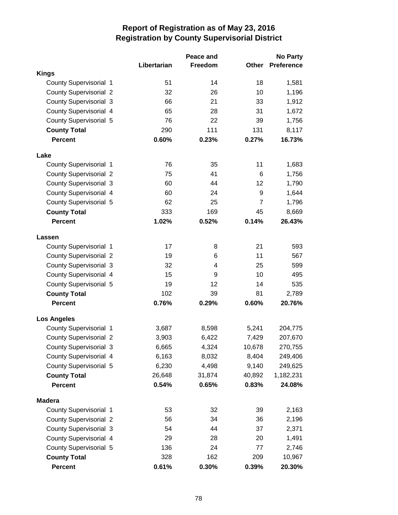|                               |             | Peace and | <b>No Party</b> |                   |
|-------------------------------|-------------|-----------|-----------------|-------------------|
|                               | Libertarian | Freedom   | Other           | <b>Preference</b> |
| <b>Kings</b>                  |             |           |                 |                   |
| <b>County Supervisorial 1</b> | 51          | 14        | 18              | 1,581             |
| <b>County Supervisorial 2</b> | 32          | 26        | 10              | 1,196             |
| <b>County Supervisorial 3</b> | 66          | 21        | 33              | 1,912             |
| County Supervisorial 4        | 65          | 28        | 31              | 1,672             |
| <b>County Supervisorial 5</b> | 76          | 22        | 39              | 1,756             |
| <b>County Total</b>           | 290         | 111       | 131             | 8,117             |
| <b>Percent</b>                | 0.60%       | 0.23%     | 0.27%           | 16.73%            |
| Lake                          |             |           |                 |                   |
| County Supervisorial 1        | 76          | 35        | 11              | 1,683             |
| <b>County Supervisorial 2</b> | 75          | 41        | 6               | 1,756             |
| <b>County Supervisorial 3</b> | 60          | 44        | 12              | 1,790             |
| County Supervisorial 4        | 60          | 24        | 9               | 1,644             |
| <b>County Supervisorial 5</b> | 62          | 25        | $\overline{7}$  | 1,796             |
| <b>County Total</b>           | 333         | 169       | 45              | 8,669             |
| <b>Percent</b>                | 1.02%       | 0.52%     | 0.14%           | 26.43%            |
| Lassen                        |             |           |                 |                   |
| County Supervisorial 1        | 17          | 8         | 21              | 593               |
| <b>County Supervisorial 2</b> | 19          | 6         | 11              | 567               |
| <b>County Supervisorial 3</b> | 32          | 4         | 25              | 599               |
| County Supervisorial 4        | 15          | 9         | 10              | 495               |
| <b>County Supervisorial 5</b> | 19          | 12        | 14              | 535               |
| <b>County Total</b>           | 102         | 39        | 81              | 2,789             |
| <b>Percent</b>                | 0.76%       | 0.29%     | 0.60%           | 20.76%            |
| <b>Los Angeles</b>            |             |           |                 |                   |
| <b>County Supervisorial 1</b> | 3,687       | 8,598     | 5,241           | 204,775           |
| <b>County Supervisorial 2</b> | 3,903       | 6,422     | 7,429           | 207,670           |
| <b>County Supervisorial 3</b> | 6,665       | 4,324     | 10,678          | 270,755           |
| County Supervisorial 4        | 6,163       | 8,032     | 8,404           | 249,406           |
| County Supervisorial 5        | 6,230       | 4,498     | 9,140           | 249,625           |
| <b>County Total</b>           | 26,648      | 31,874    | 40,892          | 1,182,231         |
| <b>Percent</b>                | 0.54%       | 0.65%     | 0.83%           | 24.08%            |
| <b>Madera</b>                 |             |           |                 |                   |
| <b>County Supervisorial 1</b> | 53          | 32        | 39              | 2,163             |
| <b>County Supervisorial 2</b> | 56          | 34        | 36              | 2,196             |
| <b>County Supervisorial 3</b> | 54          | 44        | 37              | 2,371             |
| County Supervisorial 4        | 29          | 28        | 20              | 1,491             |
| County Supervisorial 5        | 136         | 24        | 77              | 2,746             |
| <b>County Total</b>           | 328         | 162       | 209             | 10,967            |
| <b>Percent</b>                | 0.61%       | 0.30%     | 0.39%           | 20.30%            |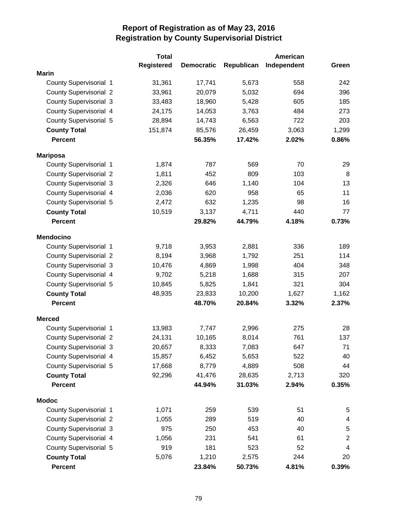|                               | <b>Total</b>      |                   |            | American    |                         |
|-------------------------------|-------------------|-------------------|------------|-------------|-------------------------|
|                               | <b>Registered</b> | <b>Democratic</b> | Republican | Independent | Green                   |
| <b>Marin</b>                  |                   |                   |            |             |                         |
| <b>County Supervisorial 1</b> | 31,361            | 17,741            | 5,673      | 558         | 242                     |
| <b>County Supervisorial 2</b> | 33,961            | 20,079            | 5,032      | 694         | 396                     |
| <b>County Supervisorial 3</b> | 33,483            | 18,960            | 5,428      | 605         | 185                     |
| County Supervisorial 4        | 24,175            | 14,053            | 3,763      | 484         | 273                     |
| <b>County Supervisorial 5</b> | 28,894            | 14,743            | 6,563      | 722         | 203                     |
| <b>County Total</b>           | 151,874           | 85,576            | 26,459     | 3,063       | 1,299                   |
| <b>Percent</b>                |                   | 56.35%            | 17.42%     | 2.02%       | 0.86%                   |
| <b>Mariposa</b>               |                   |                   |            |             |                         |
| County Supervisorial 1        | 1,874             | 787               | 569        | 70          | 29                      |
| <b>County Supervisorial 2</b> | 1,811             | 452               | 809        | 103         | 8                       |
| <b>County Supervisorial 3</b> | 2,326             | 646               | 1,140      | 104         | 13                      |
| <b>County Supervisorial 4</b> | 2,036             | 620               | 958        | 65          | 11                      |
| <b>County Supervisorial 5</b> | 2,472             | 632               | 1,235      | 98          | 16                      |
| <b>County Total</b>           | 10,519            | 3,137             | 4,711      | 440         | 77                      |
| <b>Percent</b>                |                   | 29.82%            | 44.79%     | 4.18%       | 0.73%                   |
| <b>Mendocino</b>              |                   |                   |            |             |                         |
| County Supervisorial 1        | 9,718             | 3,953             | 2,881      | 336         | 189                     |
| <b>County Supervisorial 2</b> | 8,194             | 3,968             | 1,792      | 251         | 114                     |
| <b>County Supervisorial 3</b> | 10,476            | 4,869             | 1,998      | 404         | 348                     |
| County Supervisorial 4        | 9,702             | 5,218             | 1,688      | 315         | 207                     |
| <b>County Supervisorial 5</b> | 10,845            | 5,825             | 1,841      | 321         | 304                     |
| <b>County Total</b>           | 48,935            | 23,833            | 10,200     | 1,627       | 1,162                   |
| <b>Percent</b>                |                   | 48.70%            | 20.84%     | 3.32%       | 2.37%                   |
| <b>Merced</b>                 |                   |                   |            |             |                         |
| <b>County Supervisorial 1</b> | 13,983            | 7,747             | 2,996      | 275         | 28                      |
| <b>County Supervisorial 2</b> | 24,131            | 10,165            | 8,014      | 761         | 137                     |
| <b>County Supervisorial 3</b> | 20,657            | 8,333             | 7,083      | 647         | 71                      |
| County Supervisorial 4        | 15,857            | 6,452             | 5,653      | 522         | 40                      |
| <b>County Supervisorial 5</b> | 17,668            | 8,779             | 4,889      | 508         | 44                      |
| <b>County Total</b>           | 92,296            | 41,476            | 28,635     | 2,713       | 320                     |
| <b>Percent</b>                |                   | 44.94%            | 31.03%     | 2.94%       | 0.35%                   |
| <b>Modoc</b>                  |                   |                   |            |             |                         |
| <b>County Supervisorial 1</b> | 1,071             | 259               | 539        | 51          | 5                       |
| <b>County Supervisorial 2</b> | 1,055             | 289               | 519        | 40          | 4                       |
| <b>County Supervisorial 3</b> | 975               | 250               | 453        | 40          | 5                       |
| County Supervisorial 4        | 1,056             | 231               | 541        | 61          | $\boldsymbol{2}$        |
| County Supervisorial 5        | 919               | 181               | 523        | 52          | $\overline{\mathbf{4}}$ |
| <b>County Total</b>           | 5,076             | 1,210             | 2,575      | 244         | 20                      |
| <b>Percent</b>                |                   | 23.84%            | 50.73%     | 4.81%       | 0.39%                   |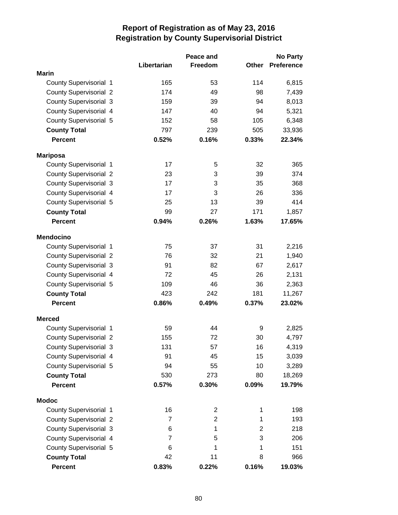|                               |                | Peace and      | <b>No Party</b> |                   |
|-------------------------------|----------------|----------------|-----------------|-------------------|
|                               | Libertarian    | Freedom        | Other           | <b>Preference</b> |
| <b>Marin</b>                  |                |                |                 |                   |
| <b>County Supervisorial 1</b> | 165            | 53             | 114             | 6,815             |
| <b>County Supervisorial 2</b> | 174            | 49             | 98              | 7,439             |
| <b>County Supervisorial 3</b> | 159            | 39             | 94              | 8,013             |
| County Supervisorial 4        | 147            | 40             | 94              | 5,321             |
| <b>County Supervisorial 5</b> | 152            | 58             | 105             | 6,348             |
| <b>County Total</b>           | 797            | 239            | 505             | 33,936            |
| <b>Percent</b>                | 0.52%          | 0.16%          | 0.33%           | 22.34%            |
| <b>Mariposa</b>               |                |                |                 |                   |
| County Supervisorial 1        | 17             | 5              | 32              | 365               |
| <b>County Supervisorial 2</b> | 23             | 3              | 39              | 374               |
| <b>County Supervisorial 3</b> | 17             | 3              | 35              | 368               |
| County Supervisorial 4        | 17             | 3              | 26              | 336               |
| <b>County Supervisorial 5</b> | 25             | 13             | 39              | 414               |
| <b>County Total</b>           | 99             | 27             | 171             | 1,857             |
| <b>Percent</b>                | 0.94%          | 0.26%          | 1.63%           | 17.65%            |
| <b>Mendocino</b>              |                |                |                 |                   |
| County Supervisorial 1        | 75             | 37             | 31              | 2,216             |
| <b>County Supervisorial 2</b> | 76             | 32             | 21              | 1,940             |
| <b>County Supervisorial 3</b> | 91             | 82             | 67              | 2,617             |
| County Supervisorial 4        | 72             | 45             | 26              | 2,131             |
| <b>County Supervisorial 5</b> | 109            | 46             | 36              | 2,363             |
| <b>County Total</b>           | 423            | 242            | 181             | 11,267            |
| <b>Percent</b>                | 0.86%          | 0.49%          | 0.37%           | 23.02%            |
| <b>Merced</b>                 |                |                |                 |                   |
| <b>County Supervisorial 1</b> | 59             | 44             | 9               | 2,825             |
| <b>County Supervisorial 2</b> | 155            | 72             | 30              | 4,797             |
| <b>County Supervisorial 3</b> | 131            | 57             | 16              | 4,319             |
| County Supervisorial 4        | 91             | 45             | 15              | 3,039             |
| <b>County Supervisorial 5</b> | 94             | 55             | 10              | 3,289             |
| <b>County Total</b>           | 530            | 273            | 80              | 18,269            |
| <b>Percent</b>                | 0.57%          | 0.30%          | 0.09%           | 19.79%            |
| <b>Modoc</b>                  |                |                |                 |                   |
| County Supervisorial 1        | 16             | 2              | 1               | 198               |
| <b>County Supervisorial 2</b> | $\overline{7}$ | $\overline{2}$ | $\mathbf{1}$    | 193               |
| <b>County Supervisorial 3</b> | 6              | 1              | $\overline{c}$  | 218               |
| County Supervisorial 4        | $\overline{7}$ | 5              | 3               | 206               |
| <b>County Supervisorial 5</b> | 6              | 1              | 1               | 151               |
| <b>County Total</b>           | 42             | 11             | 8               | 966               |
| <b>Percent</b>                | 0.83%          | 0.22%          | 0.16%           | 19.03%            |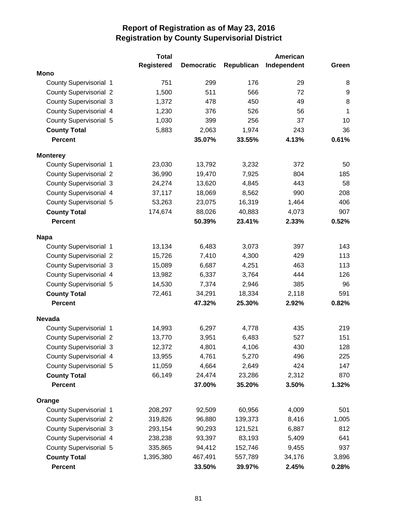|                               | <b>Total</b>      |                   |            | American    |              |
|-------------------------------|-------------------|-------------------|------------|-------------|--------------|
|                               | <b>Registered</b> | <b>Democratic</b> | Republican | Independent | Green        |
| <b>Mono</b>                   |                   |                   |            |             |              |
| <b>County Supervisorial 1</b> | 751               | 299               | 176        | 29          | 8            |
| <b>County Supervisorial 2</b> | 1,500             | 511               | 566        | 72          | 9            |
| <b>County Supervisorial 3</b> | 1,372             | 478               | 450        | 49          | 8            |
| County Supervisorial 4        | 1,230             | 376               | 526        | 56          | $\mathbf{1}$ |
| <b>County Supervisorial 5</b> | 1,030             | 399               | 256        | 37          | 10           |
| <b>County Total</b>           | 5,883             | 2,063             | 1,974      | 243         | 36           |
| <b>Percent</b>                |                   | 35.07%            | 33.55%     | 4.13%       | 0.61%        |
| <b>Monterey</b>               |                   |                   |            |             |              |
| <b>County Supervisorial 1</b> | 23,030            | 13,792            | 3,232      | 372         | 50           |
| <b>County Supervisorial 2</b> | 36,990            | 19,470            | 7,925      | 804         | 185          |
| <b>County Supervisorial 3</b> | 24,274            | 13,620            | 4,845      | 443         | 58           |
| County Supervisorial 4        | 37,117            | 18,069            | 8,562      | 990         | 208          |
| <b>County Supervisorial 5</b> | 53,263            | 23,075            | 16,319     | 1,464       | 406          |
| <b>County Total</b>           | 174,674           | 88,026            | 40,883     | 4,073       | 907          |
| <b>Percent</b>                |                   | 50.39%            | 23.41%     | 2.33%       | 0.52%        |
| <b>Napa</b>                   |                   |                   |            |             |              |
| County Supervisorial 1        | 13,134            | 6,483             | 3,073      | 397         | 143          |
| <b>County Supervisorial 2</b> | 15,726            | 7,410             | 4,300      | 429         | 113          |
| <b>County Supervisorial 3</b> | 15,089            | 6,687             | 4,251      | 463         | 113          |
| County Supervisorial 4        | 13,982            | 6,337             | 3,764      | 444         | 126          |
| <b>County Supervisorial 5</b> | 14,530            | 7,374             | 2,946      | 385         | 96           |
| <b>County Total</b>           | 72,461            | 34,291            | 18,334     | 2,118       | 591          |
| <b>Percent</b>                |                   | 47.32%            | 25.30%     | 2.92%       | 0.82%        |
| <b>Nevada</b>                 |                   |                   |            |             |              |
| <b>County Supervisorial 1</b> | 14,993            | 6,297             | 4,778      | 435         | 219          |
| <b>County Supervisorial 2</b> | 13,770            | 3,951             | 6,483      | 527         | 151          |
| <b>County Supervisorial 3</b> | 12,372            | 4,801             | 4,106      | 430         | 128          |
| County Supervisorial 4        | 13,955            | 4,761             | 5,270      | 496         | 225          |
| County Supervisorial 5        | 11,059            | 4,664             | 2,649      | 424         | 147          |
| <b>County Total</b>           | 66,149            | 24,474            | 23,286     | 2,312       | 870          |
| <b>Percent</b>                |                   | 37.00%            | 35.20%     | 3.50%       | 1.32%        |
| Orange                        |                   |                   |            |             |              |
| <b>County Supervisorial 1</b> | 208,297           | 92,509            | 60,956     | 4,009       | 501          |
| <b>County Supervisorial 2</b> | 319,826           | 96,880            | 139,373    | 8,416       | 1,005        |
| <b>County Supervisorial 3</b> | 293,154           | 90,293            | 121,521    | 6,887       | 812          |
| County Supervisorial 4        | 238,238           | 93,397            | 83,193     | 5,409       | 641          |
| County Supervisorial 5        | 335,865           | 94,412            | 152,746    | 9,455       | 937          |
| <b>County Total</b>           | 1,395,380         | 467,491           | 557,789    | 34,176      | 3,896        |
| <b>Percent</b>                |                   | 33.50%            | 39.97%     | 2.45%       | 0.28%        |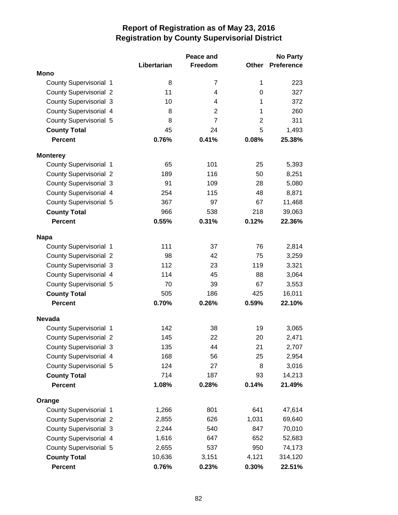|                               |             | Peace and      |                | <b>No Party</b>   |
|-------------------------------|-------------|----------------|----------------|-------------------|
|                               | Libertarian | Freedom        | <b>Other</b>   | <b>Preference</b> |
| <b>Mono</b>                   |             |                |                |                   |
| County Supervisorial 1        | 8           | 7              | 1              | 223               |
| <b>County Supervisorial 2</b> | 11          | 4              | 0              | 327               |
| <b>County Supervisorial 3</b> | 10          | 4              | 1              | 372               |
| <b>County Supervisorial 4</b> | 8           | $\overline{2}$ | 1              | 260               |
| <b>County Supervisorial 5</b> | 8           | $\overline{7}$ | $\overline{2}$ | 311               |
| <b>County Total</b>           | 45          | 24             | 5              | 1,493             |
| <b>Percent</b>                | 0.76%       | 0.41%          | 0.08%          | 25.38%            |
| <b>Monterey</b>               |             |                |                |                   |
| <b>County Supervisorial 1</b> | 65          | 101            | 25             | 5,393             |
| <b>County Supervisorial 2</b> | 189         | 116            | 50             | 8,251             |
| <b>County Supervisorial 3</b> | 91          | 109            | 28             | 5,080             |
| <b>County Supervisorial 4</b> | 254         | 115            | 48             | 8,871             |
| <b>County Supervisorial 5</b> | 367         | 97             | 67             | 11,468            |
| <b>County Total</b>           | 966         | 538            | 218            | 39,063            |
| <b>Percent</b>                | 0.55%       | 0.31%          | 0.12%          | 22.36%            |
| <b>Napa</b>                   |             |                |                |                   |
| <b>County Supervisorial 1</b> | 111         | 37             | 76             | 2,814             |
| <b>County Supervisorial 2</b> | 98          | 42             | 75             | 3,259             |
| <b>County Supervisorial 3</b> | 112         | 23             | 119            | 3,321             |
| <b>County Supervisorial 4</b> | 114         | 45             | 88             | 3,064             |
| County Supervisorial 5        | 70          | 39             | 67             | 3,553             |
| <b>County Total</b>           | 505         | 186            | 425            | 16,011            |
| <b>Percent</b>                | 0.70%       | 0.26%          | 0.59%          | 22.10%            |
| <b>Nevada</b>                 |             |                |                |                   |
| <b>County Supervisorial 1</b> | 142         | 38             | 19             | 3,065             |
| <b>County Supervisorial 2</b> | 145         | 22             | 20             | 2,471             |
| County Supervisorial 3        | 135         | 44             | 21             | 2,707             |
| County Supervisorial 4        | 168         | 56             | 25             | 2,954             |
| <b>County Supervisorial 5</b> | 124         | 27             | 8              | 3,016             |
| <b>County Total</b>           | 714         | 187            | 93             | 14,213            |
| <b>Percent</b>                | 1.08%       | 0.28%          | 0.14%          | 21.49%            |
| Orange                        |             |                |                |                   |
| <b>County Supervisorial 1</b> | 1,266       | 801            | 641            | 47,614            |
| <b>County Supervisorial 2</b> | 2,855       | 626            | 1,031          | 69,640            |
| <b>County Supervisorial 3</b> | 2,244       | 540            | 847            | 70,010            |
| County Supervisorial 4        | 1,616       | 647            | 652            | 52,683            |
| County Supervisorial 5        | 2,655       | 537            | 950            | 74,173            |
| <b>County Total</b>           | 10,636      | 3,151          | 4,121          | 314,120           |
| <b>Percent</b>                | 0.76%       | 0.23%          | 0.30%          | 22.51%            |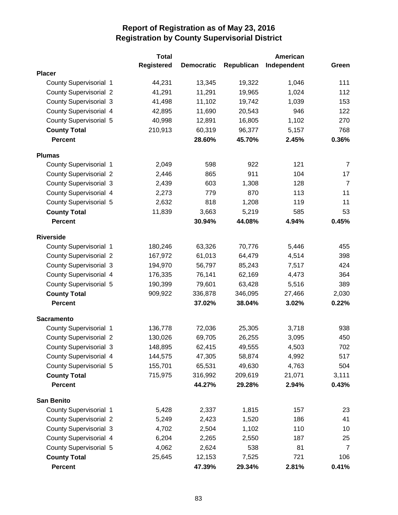|                               | <b>Total</b>      |                   |            | American    |                |
|-------------------------------|-------------------|-------------------|------------|-------------|----------------|
|                               | <b>Registered</b> | <b>Democratic</b> | Republican | Independent | Green          |
| <b>Placer</b>                 |                   |                   |            |             |                |
| <b>County Supervisorial 1</b> | 44,231            | 13,345            | 19,322     | 1,046       | 111            |
| <b>County Supervisorial 2</b> | 41,291            | 11,291            | 19,965     | 1,024       | 112            |
| <b>County Supervisorial 3</b> | 41,498            | 11,102            | 19,742     | 1,039       | 153            |
| County Supervisorial 4        | 42,895            | 11,690            | 20,543     | 946         | 122            |
| <b>County Supervisorial 5</b> | 40,998            | 12,891            | 16,805     | 1,102       | 270            |
| <b>County Total</b>           | 210,913           | 60,319            | 96,377     | 5,157       | 768            |
| <b>Percent</b>                |                   | 28.60%            | 45.70%     | 2.45%       | 0.36%          |
| <b>Plumas</b>                 |                   |                   |            |             |                |
| County Supervisorial 1        | 2,049             | 598               | 922        | 121         | 7              |
| <b>County Supervisorial 2</b> | 2,446             | 865               | 911        | 104         | 17             |
| <b>County Supervisorial 3</b> | 2,439             | 603               | 1,308      | 128         | $\overline{7}$ |
| <b>County Supervisorial 4</b> | 2,273             | 779               | 870        | 113         | 11             |
| County Supervisorial 5        | 2,632             | 818               | 1,208      | 119         | 11             |
| <b>County Total</b>           | 11,839            | 3,663             | 5,219      | 585         | 53             |
| <b>Percent</b>                |                   | 30.94%            | 44.08%     | 4.94%       | 0.45%          |
| <b>Riverside</b>              |                   |                   |            |             |                |
| County Supervisorial 1        | 180,246           | 63,326            | 70,776     | 5,446       | 455            |
| <b>County Supervisorial 2</b> | 167,972           | 61,013            | 64,479     | 4,514       | 398            |
| <b>County Supervisorial 3</b> | 194,970           | 56,797            | 85,243     | 7,517       | 424            |
| County Supervisorial 4        | 176,335           | 76,141            | 62,169     | 4,473       | 364            |
| <b>County Supervisorial 5</b> | 190,399           | 79,601            | 63,428     | 5,516       | 389            |
| <b>County Total</b>           | 909,922           | 336,878           | 346,095    | 27,466      | 2,030          |
| <b>Percent</b>                |                   | 37.02%            | 38.04%     | 3.02%       | 0.22%          |
| <b>Sacramento</b>             |                   |                   |            |             |                |
| <b>County Supervisorial 1</b> | 136,778           | 72,036            | 25,305     | 3,718       | 938            |
| <b>County Supervisorial 2</b> | 130,026           | 69,705            | 26,255     | 3,095       | 450            |
| <b>County Supervisorial 3</b> | 148,895           | 62,415            | 49,555     | 4,503       | 702            |
| County Supervisorial 4        | 144,575           | 47,305            | 58,874     | 4,992       | 517            |
| County Supervisorial 5        | 155,701           | 65,531            | 49,630     | 4,763       | 504            |
| <b>County Total</b>           | 715,975           | 316,992           | 209,619    | 21,071      | 3,111          |
| <b>Percent</b>                |                   | 44.27%            | 29.28%     | 2.94%       | 0.43%          |
| <b>San Benito</b>             |                   |                   |            |             |                |
| County Supervisorial 1        | 5,428             | 2,337             | 1,815      | 157         | 23             |
| <b>County Supervisorial 2</b> | 5,249             | 2,423             | 1,520      | 186         | 41             |
| <b>County Supervisorial 3</b> | 4,702             | 2,504             | 1,102      | 110         | 10             |
| County Supervisorial 4        | 6,204             | 2,265             | 2,550      | 187         | 25             |
| <b>County Supervisorial 5</b> | 4,062             | 2,624             | 538        | 81          | $\overline{7}$ |
| <b>County Total</b>           | 25,645            | 12,153            | 7,525      | 721         | 106            |
| Percent                       |                   | 47.39%            | 29.34%     | 2.81%       | 0.41%          |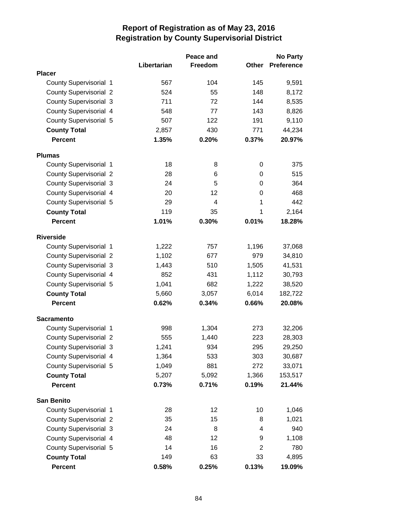|                               |             | Peace and |                | <b>No Party</b>   |
|-------------------------------|-------------|-----------|----------------|-------------------|
|                               | Libertarian | Freedom   | Other          | <b>Preference</b> |
| <b>Placer</b>                 |             |           |                |                   |
| <b>County Supervisorial 1</b> | 567         | 104       | 145            | 9,591             |
| <b>County Supervisorial 2</b> | 524         | 55        | 148            | 8,172             |
| County Supervisorial 3        | 711         | 72        | 144            | 8,535             |
| County Supervisorial 4        | 548         | 77        | 143            | 8,826             |
| <b>County Supervisorial 5</b> | 507         | 122       | 191            | 9,110             |
| <b>County Total</b>           | 2,857       | 430       | 771            | 44,234            |
| <b>Percent</b>                | 1.35%       | 0.20%     | 0.37%          | 20.97%            |
| <b>Plumas</b>                 |             |           |                |                   |
| County Supervisorial 1        | 18          | 8         | 0              | 375               |
| <b>County Supervisorial 2</b> | 28          | 6         | 0              | 515               |
| <b>County Supervisorial 3</b> | 24          | 5         | 0              | 364               |
| County Supervisorial 4        | 20          | 12        | 0              | 468               |
| <b>County Supervisorial 5</b> | 29          | 4         | 1              | 442               |
| <b>County Total</b>           | 119         | 35        | 1              | 2,164             |
| <b>Percent</b>                | 1.01%       | 0.30%     | 0.01%          | 18.28%            |
| <b>Riverside</b>              |             |           |                |                   |
| County Supervisorial 1        | 1,222       | 757       | 1,196          | 37,068            |
| <b>County Supervisorial 2</b> | 1,102       | 677       | 979            | 34,810            |
| <b>County Supervisorial 3</b> | 1,443       | 510       | 1,505          | 41,531            |
| County Supervisorial 4        | 852         | 431       | 1,112          | 30,793            |
| <b>County Supervisorial 5</b> | 1,041       | 682       | 1,222          | 38,520            |
| <b>County Total</b>           | 5,660       | 3,057     | 6,014          | 182,722           |
| <b>Percent</b>                | 0.62%       | 0.34%     | 0.66%          | 20.08%            |
| <b>Sacramento</b>             |             |           |                |                   |
| County Supervisorial 1        | 998         | 1,304     | 273            | 32,206            |
| <b>County Supervisorial 2</b> | 555         | 1,440     | 223            | 28,303            |
| <b>County Supervisorial 3</b> | 1,241       | 934       | 295            | 29,250            |
| County Supervisorial 4        | 1,364       | 533       | 303            | 30,687            |
| <b>County Supervisorial 5</b> | 1,049       | 881       | 272            | 33,071            |
| <b>County Total</b>           | 5,207       | 5,092     | 1,366          | 153,517           |
| <b>Percent</b>                | 0.73%       | 0.71%     | 0.19%          | 21.44%            |
| <b>San Benito</b>             |             |           |                |                   |
| County Supervisorial 1        | 28          | 12        | 10             | 1,046             |
| <b>County Supervisorial 2</b> | 35          | 15        | 8              | 1,021             |
| <b>County Supervisorial 3</b> | 24          | 8         | 4              | 940               |
| County Supervisorial 4        | 48          | 12        | 9              | 1,108             |
| County Supervisorial 5        | 14          | 16        | $\overline{2}$ | 780               |
| <b>County Total</b>           | 149         | 63        | 33             | 4,895             |
| <b>Percent</b>                | 0.58%       | 0.25%     | 0.13%          | 19.09%            |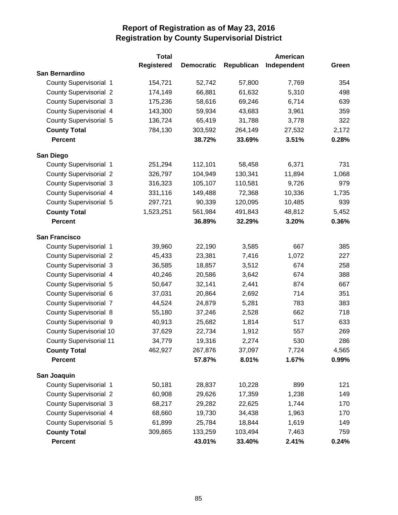|                                | <b>Total</b>      |                   |            | American    |       |
|--------------------------------|-------------------|-------------------|------------|-------------|-------|
|                                | <b>Registered</b> | <b>Democratic</b> | Republican | Independent | Green |
| San Bernardino                 |                   |                   |            |             |       |
| <b>County Supervisorial 1</b>  | 154,721           | 52,742            | 57,800     | 7,769       | 354   |
| <b>County Supervisorial 2</b>  | 174,149           | 66,881            | 61,632     | 5,310       | 498   |
| <b>County Supervisorial 3</b>  | 175,236           | 58,616            | 69,246     | 6,714       | 639   |
| <b>County Supervisorial 4</b>  | 143,300           | 59,934            | 43,683     | 3,961       | 359   |
| <b>County Supervisorial 5</b>  | 136,724           | 65,419            | 31,788     | 3,778       | 322   |
| <b>County Total</b>            | 784,130           | 303,592           | 264,149    | 27,532      | 2,172 |
| <b>Percent</b>                 |                   | 38.72%            | 33.69%     | 3.51%       | 0.28% |
| San Diego                      |                   |                   |            |             |       |
| <b>County Supervisorial 1</b>  | 251,294           | 112,101           | 58,458     | 6,371       | 731   |
| <b>County Supervisorial 2</b>  | 326,797           | 104,949           | 130,341    | 11,894      | 1,068 |
| <b>County Supervisorial 3</b>  | 316,323           | 105,107           | 110,581    | 9,726       | 979   |
| County Supervisorial 4         | 331,116           | 149,488           | 72,368     | 10,336      | 1,735 |
| <b>County Supervisorial 5</b>  | 297,721           | 90,339            | 120,095    | 10,485      | 939   |
| <b>County Total</b>            | 1,523,251         | 561,984           | 491,843    | 48,812      | 5,452 |
| <b>Percent</b>                 |                   | 36.89%            | 32.29%     | 3.20%       | 0.36% |
|                                |                   |                   |            |             |       |
| <b>San Francisco</b>           |                   |                   |            |             |       |
| <b>County Supervisorial 1</b>  | 39,960            | 22,190            | 3,585      | 667         | 385   |
| <b>County Supervisorial 2</b>  | 45,433            | 23,381            | 7,416      | 1,072       | 227   |
| <b>County Supervisorial 3</b>  | 36,585            | 18,857            | 3,512      | 674         | 258   |
| County Supervisorial 4         | 40,246            | 20,586            | 3,642      | 674         | 388   |
| County Supervisorial 5         | 50,647            | 32,141            | 2,441      | 874         | 667   |
| County Supervisorial 6         | 37,031            | 20,864            | 2,692      | 714         | 351   |
| <b>County Supervisorial 7</b>  | 44,524            | 24,879            | 5,281      | 783         | 383   |
| <b>County Supervisorial 8</b>  | 55,180            | 37,246            | 2,528      | 662         | 718   |
| County Supervisorial 9         | 40,913            | 25,682            | 1,814      | 517         | 633   |
| <b>County Supervisorial 10</b> | 37,629            | 22,734            | 1,912      | 557         | 269   |
| <b>County Supervisorial 11</b> | 34,779            | 19,316            | 2,274      | 530         | 286   |
| <b>County Total</b>            | 462,927           | 267,876           | 37,097     | 7,724       | 4,565 |
| <b>Percent</b>                 |                   | 57.87%            | 8.01%      | 1.67%       | 0.99% |
| San Joaquin                    |                   |                   |            |             |       |
| <b>County Supervisorial 1</b>  | 50,181            | 28,837            | 10,228     | 899         | 121   |
| <b>County Supervisorial 2</b>  | 60,908            | 29,626            | 17,359     | 1,238       | 149   |
| <b>County Supervisorial 3</b>  | 68,217            | 29,282            | 22,625     | 1,744       | 170   |
| County Supervisorial 4         | 68,660            | 19,730            | 34,438     | 1,963       | 170   |
| County Supervisorial 5         | 61,899            | 25,784            | 18,844     | 1,619       | 149   |
| <b>County Total</b>            | 309,865           | 133,259           | 103,494    | 7,463       | 759   |
| <b>Percent</b>                 |                   | 43.01%            | 33.40%     | 2.41%       | 0.24% |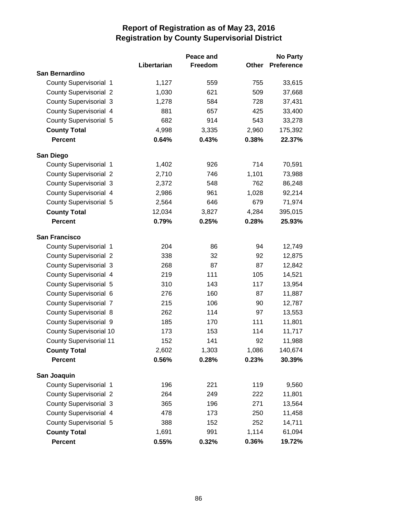|                                |             | Peace and |       | <b>No Party</b>   |
|--------------------------------|-------------|-----------|-------|-------------------|
|                                | Libertarian | Freedom   | Other | <b>Preference</b> |
| San Bernardino                 |             |           |       |                   |
| County Supervisorial 1         | 1,127       | 559       | 755   | 33,615            |
| <b>County Supervisorial 2</b>  | 1,030       | 621       | 509   | 37,668            |
| <b>County Supervisorial 3</b>  | 1,278       | 584       | 728   | 37,431            |
| County Supervisorial 4         | 881         | 657       | 425   | 33,400            |
| County Supervisorial 5         | 682         | 914       | 543   | 33,278            |
| <b>County Total</b>            | 4,998       | 3,335     | 2,960 | 175,392           |
| <b>Percent</b>                 | 0.64%       | 0.43%     | 0.38% | 22.37%            |
| San Diego                      |             |           |       |                   |
| <b>County Supervisorial 1</b>  | 1,402       | 926       | 714   | 70,591            |
| <b>County Supervisorial 2</b>  | 2,710       | 746       | 1,101 | 73,988            |
| <b>County Supervisorial 3</b>  | 2,372       | 548       | 762   | 86,248            |
| County Supervisorial 4         | 2,986       | 961       | 1,028 | 92,214            |
| County Supervisorial 5         | 2,564       | 646       | 679   | 71,974            |
| <b>County Total</b>            | 12,034      | 3,827     | 4,284 | 395,015           |
| <b>Percent</b>                 | 0.79%       | 0.25%     | 0.28% | 25.93%            |
| <b>San Francisco</b>           |             |           |       |                   |
| County Supervisorial 1         | 204         | 86        | 94    | 12,749            |
| <b>County Supervisorial 2</b>  | 338         | 32        | 92    | 12,875            |
| <b>County Supervisorial 3</b>  | 268         | 87        | 87    | 12,842            |
| County Supervisorial 4         | 219         | 111       | 105   | 14,521            |
| County Supervisorial 5         | 310         | 143       | 117   | 13,954            |
| County Supervisorial 6         | 276         | 160       | 87    | 11,887            |
| <b>County Supervisorial 7</b>  | 215         | 106       | 90    | 12,787            |
| <b>County Supervisorial 8</b>  | 262         | 114       | 97    | 13,553            |
| County Supervisorial 9         | 185         | 170       | 111   | 11,801            |
| <b>County Supervisorial 10</b> | 173         | 153       | 114   | 11,717            |
| <b>County Supervisorial 11</b> | 152         | 141       | 92    | 11,988            |
| <b>County Total</b>            | 2,602       | 1,303     | 1,086 | 140,674           |
| <b>Percent</b>                 | 0.56%       | 0.28%     | 0.23% | 30.39%            |
| San Joaquin                    |             |           |       |                   |
| County Supervisorial 1         | 196         | 221       | 119   | 9,560             |
| <b>County Supervisorial 2</b>  | 264         | 249       | 222   | 11,801            |
| County Supervisorial 3         | 365         | 196       | 271   | 13,564            |
| County Supervisorial 4         | 478         | 173       | 250   | 11,458            |
| County Supervisorial 5         | 388         | 152       | 252   | 14,711            |
| <b>County Total</b>            | 1,691       | 991       | 1,114 | 61,094            |
| Percent                        | 0.55%       | 0.32%     | 0.36% | 19.72%            |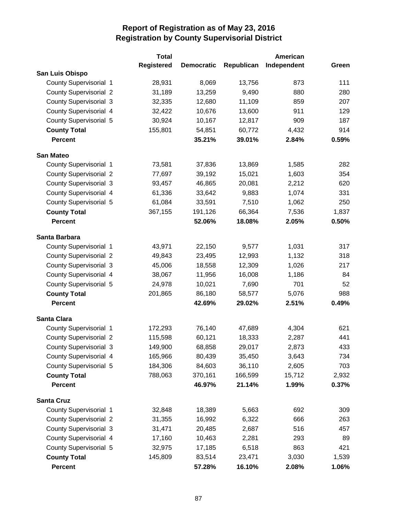|                               | <b>Total</b>      |                   |            | American    |       |
|-------------------------------|-------------------|-------------------|------------|-------------|-------|
|                               | <b>Registered</b> | <b>Democratic</b> | Republican | Independent | Green |
| San Luis Obispo               |                   |                   |            |             |       |
| County Supervisorial 1        | 28,931            | 8,069             | 13,756     | 873         | 111   |
| <b>County Supervisorial 2</b> | 31,189            | 13,259            | 9,490      | 880         | 280   |
| <b>County Supervisorial 3</b> | 32,335            | 12,680            | 11,109     | 859         | 207   |
| County Supervisorial 4        | 32,422            | 10,676            | 13,600     | 911         | 129   |
| <b>County Supervisorial 5</b> | 30,924            | 10,167            | 12,817     | 909         | 187   |
| <b>County Total</b>           | 155,801           | 54,851            | 60,772     | 4,432       | 914   |
| <b>Percent</b>                |                   | 35.21%            | 39.01%     | 2.84%       | 0.59% |
| <b>San Mateo</b>              |                   |                   |            |             |       |
| County Supervisorial 1        | 73,581            | 37,836            | 13,869     | 1,585       | 282   |
| <b>County Supervisorial 2</b> | 77,697            | 39,192            | 15,021     | 1,603       | 354   |
| <b>County Supervisorial 3</b> | 93,457            | 46,865            | 20,081     | 2,212       | 620   |
| County Supervisorial 4        | 61,336            | 33,642            | 9,883      | 1,074       | 331   |
| County Supervisorial 5        | 61,084            | 33,591            | 7,510      | 1,062       | 250   |
| <b>County Total</b>           | 367,155           | 191,126           | 66,364     | 7,536       | 1,837 |
| <b>Percent</b>                |                   | 52.06%            | 18.08%     | 2.05%       | 0.50% |
| Santa Barbara                 |                   |                   |            |             |       |
| County Supervisorial 1        | 43,971            | 22,150            | 9,577      | 1,031       | 317   |
| <b>County Supervisorial 2</b> | 49,843            | 23,495            | 12,993     | 1,132       | 318   |
| <b>County Supervisorial 3</b> | 45,006            | 18,558            | 12,309     | 1,026       | 217   |
| County Supervisorial 4        | 38,067            | 11,956            | 16,008     | 1,186       | 84    |
| County Supervisorial 5        | 24,978            | 10,021            | 7,690      | 701         | 52    |
| <b>County Total</b>           | 201,865           | 86,180            | 58,577     | 5,076       | 988   |
| <b>Percent</b>                |                   | 42.69%            | 29.02%     | 2.51%       | 0.49% |
| <b>Santa Clara</b>            |                   |                   |            |             |       |
| County Supervisorial 1        | 172,293           | 76,140            | 47,689     | 4,304       | 621   |
| <b>County Supervisorial 2</b> | 115,598           | 60,121            | 18,333     | 2,287       | 441   |
| <b>County Supervisorial 3</b> | 149,900           | 68,858            | 29,017     | 2,873       | 433   |
| County Supervisorial 4        | 165,966           | 80,439            | 35,450     | 3,643       | 734   |
| County Supervisorial 5        | 184,306           | 84,603            | 36,110     | 2,605       | 703   |
| <b>County Total</b>           | 788,063           | 370,161           | 166,599    | 15,712      | 2,932 |
| <b>Percent</b>                |                   | 46.97%            | 21.14%     | 1.99%       | 0.37% |
| <b>Santa Cruz</b>             |                   |                   |            |             |       |
| County Supervisorial 1        | 32,848            | 18,389            | 5,663      | 692         | 309   |
| <b>County Supervisorial 2</b> | 31,355            | 16,992            | 6,322      | 666         | 263   |
| <b>County Supervisorial 3</b> | 31,471            | 20,485            | 2,687      | 516         | 457   |
| County Supervisorial 4        | 17,160            | 10,463            | 2,281      | 293         | 89    |
| County Supervisorial 5        | 32,975            | 17,185            | 6,518      | 863         | 421   |
| <b>County Total</b>           | 145,809           | 83,514            | 23,471     | 3,030       | 1,539 |
| <b>Percent</b>                |                   | 57.28%            | 16.10%     | 2.08%       | 1.06% |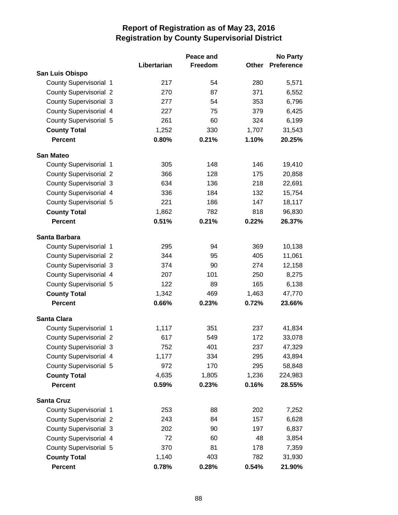|                               |             | Peace and |       | <b>No Party</b>   |
|-------------------------------|-------------|-----------|-------|-------------------|
|                               | Libertarian | Freedom   | Other | <b>Preference</b> |
| San Luis Obispo               |             |           |       |                   |
| <b>County Supervisorial 1</b> | 217         | 54        | 280   | 5,571             |
| <b>County Supervisorial 2</b> | 270         | 87        | 371   | 6,552             |
| <b>County Supervisorial 3</b> | 277         | 54        | 353   | 6,796             |
| County Supervisorial 4        | 227         | 75        | 379   | 6,425             |
| County Supervisorial 5        | 261         | 60        | 324   | 6,199             |
| <b>County Total</b>           | 1,252       | 330       | 1,707 | 31,543            |
| <b>Percent</b>                | 0.80%       | 0.21%     | 1.10% | 20.25%            |
| <b>San Mateo</b>              |             |           |       |                   |
| County Supervisorial 1        | 305         | 148       | 146   | 19,410            |
| <b>County Supervisorial 2</b> | 366         | 128       | 175   | 20,858            |
| <b>County Supervisorial 3</b> | 634         | 136       | 218   | 22,691            |
| County Supervisorial 4        | 336         | 184       | 132   | 15,754            |
| County Supervisorial 5        | 221         | 186       | 147   | 18,117            |
| <b>County Total</b>           | 1,862       | 782       | 818   | 96,830            |
| <b>Percent</b>                | 0.51%       | 0.21%     | 0.22% | 26.37%            |
| Santa Barbara                 |             |           |       |                   |
| <b>County Supervisorial 1</b> | 295         | 94        | 369   | 10,138            |
| <b>County Supervisorial 2</b> | 344         | 95        | 405   | 11,061            |
| <b>County Supervisorial 3</b> | 374         | 90        | 274   | 12,158            |
| County Supervisorial 4        | 207         | 101       | 250   | 8,275             |
| County Supervisorial 5        | 122         | 89        | 165   | 6,138             |
| <b>County Total</b>           | 1,342       | 469       | 1,463 | 47,770            |
| <b>Percent</b>                | 0.66%       | 0.23%     | 0.72% | 23.66%            |
| <b>Santa Clara</b>            |             |           |       |                   |
| County Supervisorial 1        | 1,117       | 351       | 237   | 41,834            |
| <b>County Supervisorial 2</b> | 617         | 549       | 172   | 33,078            |
| <b>County Supervisorial 3</b> | 752         | 401       | 237   | 47,329            |
| County Supervisorial 4        | 1,177       | 334       | 295   | 43,894            |
| County Supervisorial 5        | 972         | 170       | 295   | 58,848            |
| <b>County Total</b>           | 4,635       | 1,805     | 1,236 | 224,983           |
| <b>Percent</b>                | 0.59%       | 0.23%     | 0.16% | 28.55%            |
| <b>Santa Cruz</b>             |             |           |       |                   |
| <b>County Supervisorial 1</b> | 253         | 88        | 202   | 7,252             |
| <b>County Supervisorial 2</b> | 243         | 84        | 157   | 6,628             |
| <b>County Supervisorial 3</b> | 202         | 90        | 197   | 6,837             |
| County Supervisorial 4        | 72          | 60        | 48    | 3,854             |
| County Supervisorial 5        | 370         | 81        | 178   | 7,359             |
| <b>County Total</b>           | 1,140       | 403       | 782   | 31,930            |
| Percent                       | 0.78%       | 0.28%     | 0.54% | 21.90%            |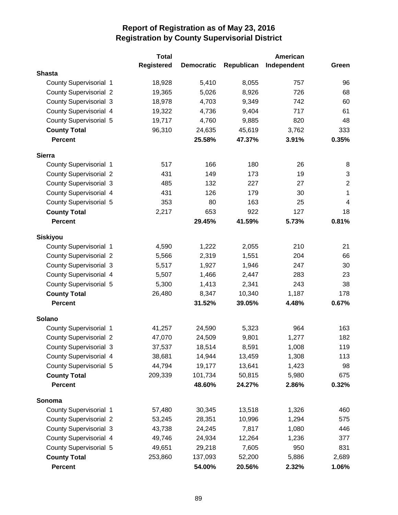|                               | <b>Total</b>      |                   | American   |             |                  |  |
|-------------------------------|-------------------|-------------------|------------|-------------|------------------|--|
|                               | <b>Registered</b> | <b>Democratic</b> | Republican | Independent | Green            |  |
| <b>Shasta</b>                 |                   |                   |            |             |                  |  |
| <b>County Supervisorial 1</b> | 18,928            | 5,410             | 8,055      | 757         | 96               |  |
| <b>County Supervisorial 2</b> | 19,365            | 5,026             | 8,926      | 726         | 68               |  |
| <b>County Supervisorial 3</b> | 18,978            | 4,703             | 9,349      | 742         | 60               |  |
| County Supervisorial 4        | 19,322            | 4,736             | 9,404      | 717         | 61               |  |
| <b>County Supervisorial 5</b> | 19,717            | 4,760             | 9,885      | 820         | 48               |  |
| <b>County Total</b>           | 96,310            | 24,635            | 45,619     | 3,762       | 333              |  |
| <b>Percent</b>                |                   | 25.58%            | 47.37%     | 3.91%       | 0.35%            |  |
| <b>Sierra</b>                 |                   |                   |            |             |                  |  |
| County Supervisorial 1        | 517               | 166               | 180        | 26          | 8                |  |
| <b>County Supervisorial 2</b> | 431               | 149               | 173        | 19          | 3                |  |
| <b>County Supervisorial 3</b> | 485               | 132               | 227        | 27          | $\boldsymbol{2}$ |  |
| County Supervisorial 4        | 431               | 126               | 179        | 30          | $\mathbf{1}$     |  |
| County Supervisorial 5        | 353               | 80                | 163        | 25          | $\overline{4}$   |  |
| <b>County Total</b>           | 2,217             | 653               | 922        | 127         | 18               |  |
| <b>Percent</b>                |                   | 29.45%            | 41.59%     | 5.73%       | 0.81%            |  |
| <b>Siskiyou</b>               |                   |                   |            |             |                  |  |
| County Supervisorial 1        | 4,590             | 1,222             | 2,055      | 210         | 21               |  |
| <b>County Supervisorial 2</b> | 5,566             | 2,319             | 1,551      | 204         | 66               |  |
| <b>County Supervisorial 3</b> | 5,517             | 1,927             | 1,946      | 247         | 30               |  |
| County Supervisorial 4        | 5,507             | 1,466             | 2,447      | 283         | 23               |  |
| County Supervisorial 5        | 5,300             | 1,413             | 2,341      | 243         | 38               |  |
| <b>County Total</b>           | 26,480            | 8,347             | 10,340     | 1,187       | 178              |  |
| <b>Percent</b>                |                   | 31.52%            | 39.05%     | 4.48%       | 0.67%            |  |
| Solano                        |                   |                   |            |             |                  |  |
| <b>County Supervisorial 1</b> | 41,257            | 24,590            | 5,323      | 964         | 163              |  |
| <b>County Supervisorial 2</b> | 47,070            | 24,509            | 9,801      | 1,277       | 182              |  |
| <b>County Supervisorial 3</b> | 37,537            | 18,514            | 8,591      | 1,008       | 119              |  |
| County Supervisorial 4        | 38,681            | 14,944            | 13,459     | 1,308       | 113              |  |
| County Supervisorial 5        | 44,794            | 19,177            | 13,641     | 1,423       | 98               |  |
| <b>County Total</b>           | 209,339           | 101,734           | 50,815     | 5,980       | 675              |  |
| <b>Percent</b>                |                   | 48.60%            | 24.27%     | 2.86%       | 0.32%            |  |
| Sonoma                        |                   |                   |            |             |                  |  |
| <b>County Supervisorial 1</b> | 57,480            | 30,345            | 13,518     | 1,326       | 460              |  |
| <b>County Supervisorial 2</b> | 53,245            | 28,351            | 10,996     | 1,294       | 575              |  |
| <b>County Supervisorial 3</b> | 43,738            | 24,245            | 7,817      | 1,080       | 446              |  |
| County Supervisorial 4        | 49,746            | 24,934            | 12,264     | 1,236       | 377              |  |
| <b>County Supervisorial 5</b> | 49,651            | 29,218            | 7,605      | 950         | 831              |  |
| <b>County Total</b>           | 253,860           | 137,093           | 52,200     | 5,886       | 2,689            |  |
| Percent                       |                   | 54.00%            | 20.56%     | 2.32%       | 1.06%            |  |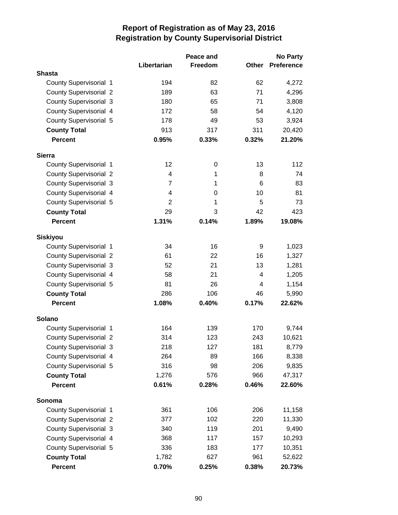|                               | Peace and      |         |       | <b>No Party</b>   |
|-------------------------------|----------------|---------|-------|-------------------|
|                               | Libertarian    | Freedom | Other | <b>Preference</b> |
| <b>Shasta</b>                 |                |         |       |                   |
| <b>County Supervisorial 1</b> | 194            | 82      | 62    | 4,272             |
| <b>County Supervisorial 2</b> | 189            | 63      | 71    | 4,296             |
| <b>County Supervisorial 3</b> | 180            | 65      | 71    | 3,808             |
| County Supervisorial 4        | 172            | 58      | 54    | 4,120             |
| <b>County Supervisorial 5</b> | 178            | 49      | 53    | 3,924             |
| <b>County Total</b>           | 913            | 317     | 311   | 20,420            |
| <b>Percent</b>                | 0.95%          | 0.33%   | 0.32% | 21.20%            |
| <b>Sierra</b>                 |                |         |       |                   |
| <b>County Supervisorial 1</b> | 12             | 0       | 13    | 112               |
| <b>County Supervisorial 2</b> | 4              | 1       | 8     | 74                |
| <b>County Supervisorial 3</b> | $\overline{7}$ | 1       | 6     | 83                |
| County Supervisorial 4        | 4              | 0       | 10    | 81                |
| <b>County Supervisorial 5</b> | $\overline{2}$ | 1       | 5     | 73                |
| <b>County Total</b>           | 29             | 3       | 42    | 423               |
| <b>Percent</b>                | 1.31%          | 0.14%   | 1.89% | 19.08%            |
| <b>Siskiyou</b>               |                |         |       |                   |
| <b>County Supervisorial 1</b> | 34             | 16      | 9     | 1,023             |
| <b>County Supervisorial 2</b> | 61             | 22      | 16    | 1,327             |
| <b>County Supervisorial 3</b> | 52             | 21      | 13    | 1,281             |
| County Supervisorial 4        | 58             | 21      | 4     | 1,205             |
| <b>County Supervisorial 5</b> | 81             | 26      | 4     | 1,154             |
| <b>County Total</b>           | 286            | 106     | 46    | 5,990             |
| <b>Percent</b>                | 1.08%          | 0.40%   | 0.17% | 22.62%            |
| <b>Solano</b>                 |                |         |       |                   |
| <b>County Supervisorial 1</b> | 164            | 139     | 170   | 9,744             |
| <b>County Supervisorial 2</b> | 314            | 123     | 243   | 10,621            |
| <b>County Supervisorial 3</b> | 218            | 127     | 181   | 8,779             |
| County Supervisorial 4        | 264            | 89      | 166   | 8,338             |
| <b>County Supervisorial 5</b> | 316            | 98      | 206   | 9,835             |
| <b>County Total</b>           | 1,276          | 576     | 966   | 47,317            |
| <b>Percent</b>                | 0.61%          | 0.28%   | 0.46% | 22.60%            |
| Sonoma                        |                |         |       |                   |
| <b>County Supervisorial 1</b> | 361            | 106     | 206   | 11,158            |
| <b>County Supervisorial 2</b> | 377            | 102     | 220   | 11,330            |
| <b>County Supervisorial 3</b> | 340            | 119     | 201   | 9,490             |
| County Supervisorial 4        | 368            | 117     | 157   | 10,293            |
| <b>County Supervisorial 5</b> | 336            | 183     | 177   | 10,351            |
| <b>County Total</b>           | 1,782          | 627     | 961   | 52,622            |
| <b>Percent</b>                | 0.70%          | 0.25%   | 0.38% | 20.73%            |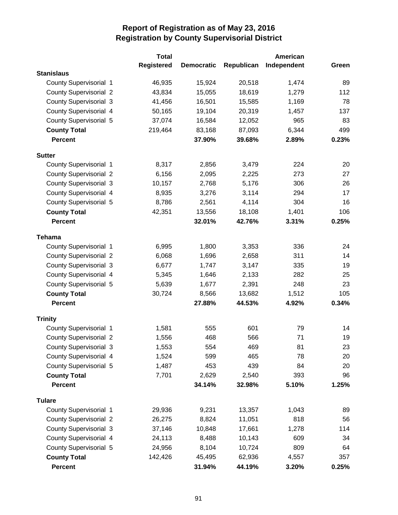|                               | <b>Total</b>      |                   |            | American    |       |
|-------------------------------|-------------------|-------------------|------------|-------------|-------|
|                               | <b>Registered</b> | <b>Democratic</b> | Republican | Independent | Green |
| <b>Stanislaus</b>             |                   |                   |            |             |       |
| County Supervisorial 1        | 46,935            | 15,924            | 20,518     | 1,474       | 89    |
| <b>County Supervisorial 2</b> | 43,834            | 15,055            | 18,619     | 1,279       | 112   |
| <b>County Supervisorial 3</b> | 41,456            | 16,501            | 15,585     | 1,169       | 78    |
| <b>County Supervisorial 4</b> | 50,165            | 19,104            | 20,319     | 1,457       | 137   |
| <b>County Supervisorial 5</b> | 37,074            | 16,584            | 12,052     | 965         | 83    |
| <b>County Total</b>           | 219,464           | 83,168            | 87,093     | 6,344       | 499   |
| <b>Percent</b>                |                   | 37.90%            | 39.68%     | 2.89%       | 0.23% |
| <b>Sutter</b>                 |                   |                   |            |             |       |
| County Supervisorial 1        | 8,317             | 2,856             | 3,479      | 224         | 20    |
| <b>County Supervisorial 2</b> | 6,156             | 2,095             | 2,225      | 273         | 27    |
| <b>County Supervisorial 3</b> | 10,157            | 2,768             | 5,176      | 306         | 26    |
| <b>County Supervisorial 4</b> | 8,935             | 3,276             | 3,114      | 294         | 17    |
| <b>County Supervisorial 5</b> | 8,786             | 2,561             | 4,114      | 304         | 16    |
| <b>County Total</b>           | 42,351            | 13,556            | 18,108     | 1,401       | 106   |
| <b>Percent</b>                |                   | 32.01%            | 42.76%     | 3.31%       | 0.25% |
| <b>Tehama</b>                 |                   |                   |            |             |       |
| County Supervisorial 1        | 6,995             | 1,800             | 3,353      | 336         | 24    |
| <b>County Supervisorial 2</b> | 6,068             | 1,696             | 2,658      | 311         | 14    |
| <b>County Supervisorial 3</b> | 6,677             | 1,747             | 3,147      | 335         | 19    |
| <b>County Supervisorial 4</b> | 5,345             | 1,646             | 2,133      | 282         | 25    |
| <b>County Supervisorial 5</b> | 5,639             | 1,677             | 2,391      | 248         | 23    |
| <b>County Total</b>           | 30,724            | 8,566             | 13,682     | 1,512       | 105   |
| <b>Percent</b>                |                   | 27.88%            | 44.53%     | 4.92%       | 0.34% |
| <b>Trinity</b>                |                   |                   |            |             |       |
| County Supervisorial 1        | 1,581             | 555               | 601        | 79          | 14    |
| <b>County Supervisorial 2</b> | 1,556             | 468               | 566        | 71          | 19    |
| <b>County Supervisorial 3</b> | 1,553             | 554               | 469        | 81          | 23    |
| County Supervisorial 4        | 1,524             | 599               | 465        | 78          | 20    |
| <b>County Supervisorial 5</b> | 1,487             | 453               | 439        | 84          | 20    |
| <b>County Total</b>           | 7,701             | 2,629             | 2,540      | 393         | 96    |
| <b>Percent</b>                |                   | 34.14%            | 32.98%     | 5.10%       | 1.25% |
| <b>Tulare</b>                 |                   |                   |            |             |       |
| <b>County Supervisorial 1</b> | 29,936            | 9,231             | 13,357     | 1,043       | 89    |
| <b>County Supervisorial 2</b> | 26,275            | 8,824             | 11,051     | 818         | 56    |
| <b>County Supervisorial 3</b> | 37,146            | 10,848            | 17,661     | 1,278       | 114   |
| <b>County Supervisorial 4</b> | 24,113            | 8,488             | 10,143     | 609         | 34    |
| County Supervisorial 5        | 24,956            | 8,104             | 10,724     | 809         | 64    |
| <b>County Total</b>           | 142,426           | 45,495            | 62,936     | 4,557       | 357   |
| <b>Percent</b>                |                   | 31.94%            | 44.19%     | 3.20%       | 0.25% |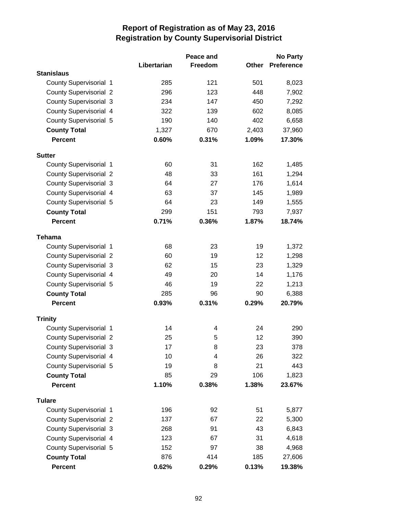|                               |             | Peace and |       | <b>No Party</b>   |
|-------------------------------|-------------|-----------|-------|-------------------|
|                               | Libertarian | Freedom   | Other | <b>Preference</b> |
| <b>Stanislaus</b>             |             |           |       |                   |
| County Supervisorial 1        | 285         | 121       | 501   | 8,023             |
| <b>County Supervisorial 2</b> | 296         | 123       | 448   | 7,902             |
| <b>County Supervisorial 3</b> | 234         | 147       | 450   | 7,292             |
| <b>County Supervisorial 4</b> | 322         | 139       | 602   | 8,085             |
| County Supervisorial 5        | 190         | 140       | 402   | 6,658             |
| <b>County Total</b>           | 1,327       | 670       | 2,403 | 37,960            |
| <b>Percent</b>                | 0.60%       | 0.31%     | 1.09% | 17.30%            |
| <b>Sutter</b>                 |             |           |       |                   |
| County Supervisorial 1        | 60          | 31        | 162   | 1,485             |
| <b>County Supervisorial 2</b> | 48          | 33        | 161   | 1,294             |
| <b>County Supervisorial 3</b> | 64          | 27        | 176   | 1,614             |
| <b>County Supervisorial 4</b> | 63          | 37        | 145   | 1,989             |
| <b>County Supervisorial 5</b> | 64          | 23        | 149   | 1,555             |
| <b>County Total</b>           | 299         | 151       | 793   | 7,937             |
| <b>Percent</b>                | 0.71%       | 0.36%     | 1.87% | 18.74%            |
| <b>Tehama</b>                 |             |           |       |                   |
| County Supervisorial 1        | 68          | 23        | 19    | 1,372             |
| <b>County Supervisorial 2</b> | 60          | 19        | 12    | 1,298             |
| <b>County Supervisorial 3</b> | 62          | 15        | 23    | 1,329             |
| <b>County Supervisorial 4</b> | 49          | 20        | 14    | 1,176             |
| County Supervisorial 5        | 46          | 19        | 22    | 1,213             |
| <b>County Total</b>           | 285         | 96        | 90    | 6,388             |
| <b>Percent</b>                | 0.93%       | 0.31%     | 0.29% | 20.79%            |
| <b>Trinity</b>                |             |           |       |                   |
| County Supervisorial 1        | 14          | 4         | 24    | 290               |
| <b>County Supervisorial 2</b> | 25          | 5         | 12    | 390               |
| <b>County Supervisorial 3</b> | 17          | 8         | 23    | 378               |
| County Supervisorial 4        | 10          | 4         | 26    | 322               |
| <b>County Supervisorial 5</b> | 19          | 8         | 21    | 443               |
| <b>County Total</b>           | 85          | 29        | 106   | 1,823             |
| <b>Percent</b>                | 1.10%       | 0.38%     | 1.38% | 23.67%            |
| <b>Tulare</b>                 |             |           |       |                   |
| County Supervisorial 1        | 196         | 92        | 51    | 5,877             |
| <b>County Supervisorial 2</b> | 137         | 67        | 22    | 5,300             |
| <b>County Supervisorial 3</b> | 268         | 91        | 43    | 6,843             |
| County Supervisorial 4        | 123         | 67        | 31    | 4,618             |
| <b>County Supervisorial 5</b> | 152         | 97        | 38    | 4,968             |
| <b>County Total</b>           | 876         | 414       | 185   | 27,606            |
| Percent                       | 0.62%       | 0.29%     | 0.13% | 19.38%            |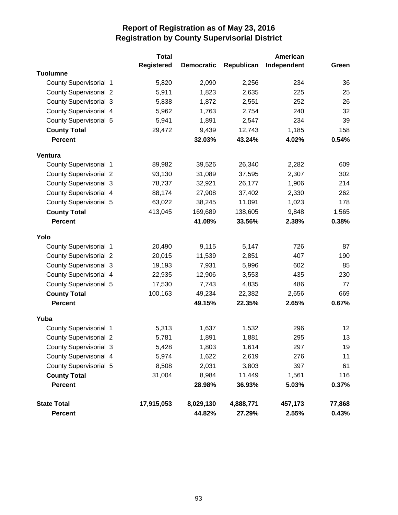|                               | <b>Total</b>      |                   |            | American    |        |
|-------------------------------|-------------------|-------------------|------------|-------------|--------|
|                               | <b>Registered</b> | <b>Democratic</b> | Republican | Independent | Green  |
| <b>Tuolumne</b>               |                   |                   |            |             |        |
| <b>County Supervisorial 1</b> | 5,820             | 2,090             | 2,256      | 234         | 36     |
| <b>County Supervisorial 2</b> | 5,911             | 1,823             | 2,635      | 225         | 25     |
| <b>County Supervisorial 3</b> | 5,838             | 1,872             | 2,551      | 252         | 26     |
| County Supervisorial 4        | 5,962             | 1,763             | 2,754      | 240         | 32     |
| County Supervisorial 5        | 5,941             | 1,891             | 2,547      | 234         | 39     |
| <b>County Total</b>           | 29,472            | 9,439             | 12,743     | 1,185       | 158    |
| <b>Percent</b>                |                   | 32.03%            | 43.24%     | 4.02%       | 0.54%  |
| Ventura                       |                   |                   |            |             |        |
| County Supervisorial 1        | 89,982            | 39,526            | 26,340     | 2,282       | 609    |
| <b>County Supervisorial 2</b> | 93,130            | 31,089            | 37,595     | 2,307       | 302    |
| <b>County Supervisorial 3</b> | 78,737            | 32,921            | 26,177     | 1,906       | 214    |
| <b>County Supervisorial 4</b> | 88,174            | 27,908            | 37,402     | 2,330       | 262    |
| <b>County Supervisorial 5</b> | 63,022            | 38,245            | 11,091     | 1,023       | 178    |
| <b>County Total</b>           | 413,045           | 169,689           | 138,605    | 9,848       | 1,565  |
| <b>Percent</b>                |                   | 41.08%            | 33.56%     | 2.38%       | 0.38%  |
| Yolo                          |                   |                   |            |             |        |
| County Supervisorial 1        | 20,490            | 9,115             | 5,147      | 726         | 87     |
| <b>County Supervisorial 2</b> | 20,015            | 11,539            | 2,851      | 407         | 190    |
| <b>County Supervisorial 3</b> | 19,193            | 7,931             | 5,996      | 602         | 85     |
| County Supervisorial 4        | 22,935            | 12,906            | 3,553      | 435         | 230    |
| <b>County Supervisorial 5</b> | 17,530            | 7,743             | 4,835      | 486         | 77     |
| <b>County Total</b>           | 100,163           | 49,234            | 22,382     | 2,656       | 669    |
| <b>Percent</b>                |                   | 49.15%            | 22.35%     | 2.65%       | 0.67%  |
| Yuba                          |                   |                   |            |             |        |
| <b>County Supervisorial 1</b> | 5,313             | 1,637             | 1,532      | 296         | 12     |
| <b>County Supervisorial 2</b> | 5,781             | 1,891             | 1,881      | 295         | 13     |
| <b>County Supervisorial 3</b> | 5,428             | 1,803             | 1,614      | 297         | 19     |
| County Supervisorial 4        | 5,974             | 1,622             | 2,619      | 276         | 11     |
| County Supervisorial 5        | 8,508             | 2,031             | 3,803      | 397         | 61     |
| <b>County Total</b>           | 31,004            | 8,984             | 11,449     | 1,561       | 116    |
| <b>Percent</b>                |                   | 28.98%            | 36.93%     | 5.03%       | 0.37%  |
| <b>State Total</b>            | 17,915,053        | 8,029,130         | 4,888,771  | 457,173     | 77,868 |
| <b>Percent</b>                |                   | 44.82%            | 27.29%     | 2.55%       | 0.43%  |